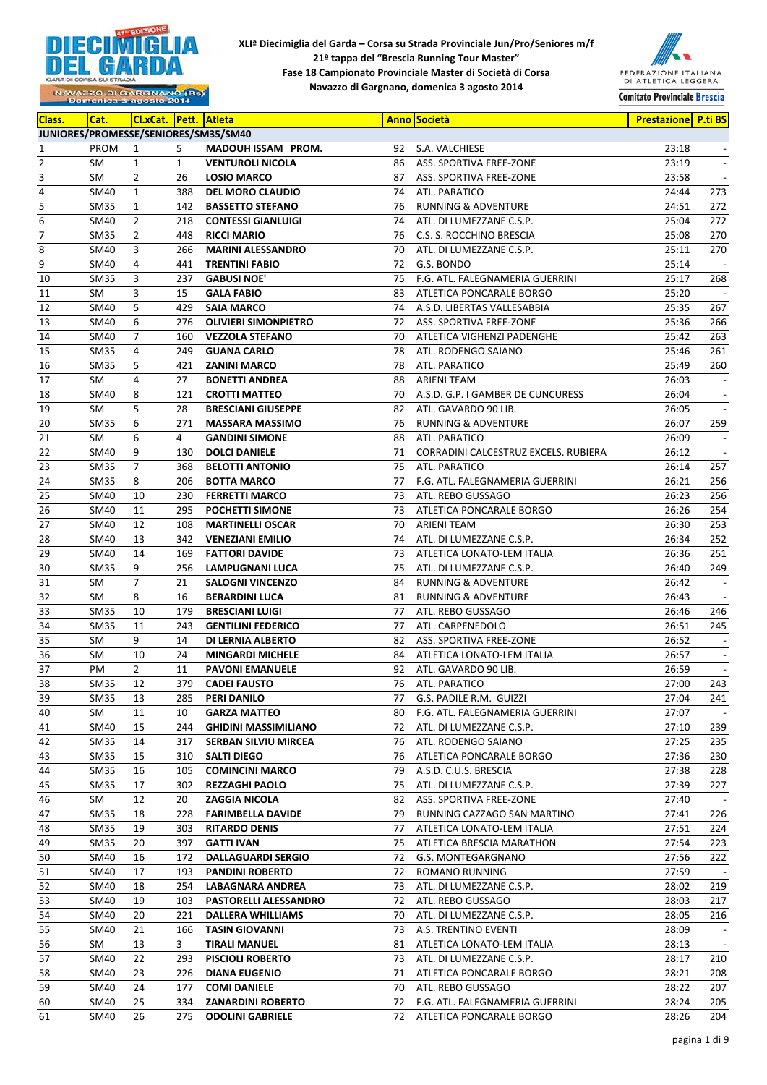



| Class.                  | Cat.        | <b>CI.xCat.</b> Pett. Atleta |              |                                      |    | <b>Anno Società</b>                     | <b>Prestazione P.ti BS</b> |                          |
|-------------------------|-------------|------------------------------|--------------|--------------------------------------|----|-----------------------------------------|----------------------------|--------------------------|
|                         |             |                              |              | JUNIORES/PROMESSE/SENIORES/SM35/SM40 |    |                                         |                            |                          |
| 1                       | PROM        | $\mathbf{1}$                 | 5            | MADOUH ISSAM PROM.                   | 92 | S.A. VALCHIESE                          | 23:18                      | $\overline{\phantom{a}}$ |
| $\mathbf 2$             | SM          | $\mathbf{1}$                 | $\mathbf{1}$ | <b>VENTUROLI NICOLA</b>              | 86 | ASS. SPORTIVA FREE-ZONE                 | 23:19                      | $\overline{\phantom{a}}$ |
| 3                       | SM          | $\overline{2}$               | 26           | <b>LOSIO MARCO</b>                   | 87 | ASS. SPORTIVA FREE-ZONE                 | 23:58                      | $\overline{\phantom{a}}$ |
| $\overline{4}$          | SM40        | $\mathbf{1}$                 | 388          | <b>DEL MORO CLAUDIO</b>              | 74 | ATL. PARATICO                           | 24:44                      | 273                      |
| $\overline{\mathbf{5}}$ | <b>SM35</b> | $\mathbf{1}$                 | 142          | <b>BASSETTO STEFANO</b>              | 76 | <b>RUNNING &amp; ADVENTURE</b>          | 24:51                      | 272                      |
| $\boldsymbol{6}$        | SM40        | $\overline{2}$               | 218          | <b>CONTESSI GIANLUIGI</b>            | 74 | ATL. DI LUMEZZANE C.S.P.                | 25:04                      | 272                      |
| $\overline{7}$          | SM35        | $\overline{2}$               | 448          | <b>RICCI MARIO</b>                   | 76 | C.S. S. ROCCHINO BRESCIA                | 25:08                      | 270                      |
| 8                       | SM40        | 3                            | 266          | <b>MARINI ALESSANDRO</b>             | 70 | ATL. DI LUMEZZANE C.S.P.                | 25:11                      | 270                      |
| 9                       | SM40        | $\overline{4}$               | 441          | <b>TRENTINI FABIO</b>                | 72 | G.S. BONDO                              | 25:14                      | $\overline{\phantom{a}}$ |
| 10                      | SM35        | 3                            | 237          | <b>GABUSI NOE'</b>                   | 75 | F.G. ATL. FALEGNAMERIA GUERRINI         | 25:17                      | 268                      |
| 11                      | SM          | 3                            | 15           | <b>GALA FABIO</b>                    | 83 | ATLETICA PONCARALE BORGO                | 25:20                      | $\sim$                   |
| 12                      | SM40        | 5                            | 429          | <b>SAIA MARCO</b>                    | 74 | A.S.D. LIBERTAS VALLESABBIA             | 25:35                      | 267                      |
| 13                      | SM40        | 6                            | 276          | <b>OLIVIERI SIMONPIETRO</b>          | 72 | ASS. SPORTIVA FREE-ZONE                 | 25:36                      | 266                      |
| 14                      | SM40        | $\overline{7}$               | 160          | <b>VEZZOLA STEFANO</b>               | 70 | ATLETICA VIGHENZI PADENGHE              | 25:42                      | 263                      |
| 15                      | SM35        | 4                            | 249          | <b>GUANA CARLO</b>                   | 78 | ATL. RODENGO SAIANO                     | 25:46                      | 261                      |
| 16                      | SM35        | 5                            | 421          | <b>ZANINI MARCO</b>                  | 78 | ATL. PARATICO                           | 25:49                      | 260                      |
| 17                      | SM          | 4                            | 27           | <b>BONETTI ANDREA</b>                | 88 | ARIENI TEAM                             | 26:03                      | $\overline{\phantom{a}}$ |
| 18                      | SM40        | 8                            | 121          | <b>CROTTI MATTEO</b>                 | 70 | A.S.D. G.P. I GAMBER DE CUNCURESS       | 26:04                      | $\overline{\phantom{a}}$ |
| 19                      | SM          | 5                            | 28           | <b>BRESCIANI GIUSEPPE</b>            | 82 | ATL. GAVARDO 90 LIB.                    | 26:05                      | $\overline{\phantom{a}}$ |
| 20                      | <b>SM35</b> | 6                            | 271          | <b>MASSARA MASSIMO</b>               | 76 | <b>RUNNING &amp; ADVENTURE</b>          | 26:07                      | 259                      |
| 21                      | SM          | 6                            | 4            | <b>GANDINI SIMONE</b>                | 88 | ATL. PARATICO                           | 26:09                      | $\overline{\phantom{a}}$ |
| 22                      | SM40        | 9                            | 130          | <b>DOLCI DANIELE</b>                 |    | 71 CORRADINI CALCESTRUZ EXCELS. RUBIERA | 26:12                      | $\overline{\phantom{a}}$ |
| 23                      | SM35        | $\overline{7}$               | 368          | <b>BELOTTI ANTONIO</b>               | 75 | ATL. PARATICO                           | 26:14                      | 257                      |
| 24                      | SM35        | 8                            | 206          | <b>BOTTA MARCO</b>                   | 77 | F.G. ATL. FALEGNAMERIA GUERRINI         | 26:21                      | 256                      |
| 25                      | SM40        | 10                           | 230          | <b>FERRETTI MARCO</b>                | 73 | ATL. REBO GUSSAGO                       | 26:23                      | 256                      |
| 26                      | SM40        | 11                           | 295          | <b>POCHETTI SIMONE</b>               |    | 73 ATLETICA PONCARALE BORGO             | 26:26                      | 254                      |
| 27                      | SM40        | 12                           | 108          | <b>MARTINELLI OSCAR</b>              | 70 | ARIENI TEAM                             | 26:30                      | 253                      |
| 28                      | SM40        | 13                           | 342          | <b>VENEZIANI EMILIO</b>              | 74 | ATL. DI LUMEZZANE C.S.P.                | 26:34                      | 252                      |
| 29                      | SM40        | 14                           | 169          | <b>FATTORI DAVIDE</b>                | 73 | ATLETICA LONATO-LEM ITALIA              | 26:36                      | 251                      |
| 30                      | <b>SM35</b> | 9                            | 256          | <b>LAMPUGNANI LUCA</b>               | 75 | ATL. DI LUMEZZANE C.S.P.                | 26:40                      | 249                      |
| 31                      | SM          | 7                            | 21           | <b>SALOGNI VINCENZO</b>              | 84 | <b>RUNNING &amp; ADVENTURE</b>          | 26:42                      | $\overline{\phantom{a}}$ |
| 32                      | SM          | 8                            | 16           | <b>BERARDINI LUCA</b>                | 81 | <b>RUNNING &amp; ADVENTURE</b>          | 26:43                      | $\overline{\phantom{a}}$ |
| 33                      | SM35        | 10                           | 179          | <b>BRESCIANI LUIGI</b>               | 77 | ATL. REBO GUSSAGO                       | 26:46                      | 246                      |
| 34                      | SM35        | 11                           | 243          | <b>GENTILINI FEDERICO</b>            | 77 | ATL. CARPENEDOLO                        | 26:51                      | 245                      |
| 35                      | SM          | 9                            | 14           | DI LERNIA ALBERTO                    | 82 | ASS. SPORTIVA FREE-ZONE                 | 26:52                      |                          |
| 36                      | SM          | 10                           | 24           | <b>MINGARDI MICHELE</b>              | 84 | ATLETICA LONATO-LEM ITALIA              | 26:57                      | $\overline{\phantom{a}}$ |
| 37                      | PM          | $\overline{2}$               | 11           | <b>PAVONI EMANUELE</b>               | 92 | ATL. GAVARDO 90 LIB.                    | 26:59                      | $\overline{\phantom{a}}$ |
| 38                      | SM35        | 12                           | 379          | <b>CADEI FAUSTO</b>                  |    | 76 ATL. PARATICO                        | 27:00                      | 243                      |
| 39                      | SM35        | 13                           | 285          | PERI DANILO                          |    | 77 G.S. PADILE R.M. GUIZZI              | 27:04                      | 241                      |
| 40                      | SM          | 11                           | 10           | <b>GARZA MATTEO</b>                  | 80 | F.G. ATL. FALEGNAMERIA GUERRINI         | 27:07                      | $\overline{\phantom{a}}$ |
| 41                      | SM40        | 15                           | 244          | <b>GHIDINI MASSIMILIANO</b>          | 72 | ATL. DI LUMEZZANE C.S.P.                | 27:10                      | 239                      |
| 42                      | SM35        | 14                           | 317          | <b>SERBAN SILVIU MIRCEA</b>          | 76 | ATL. RODENGO SAIANO                     | 27:25                      | 235                      |
| 43                      | SM35        | 15                           | 310          | <b>SALTI DIEGO</b>                   |    | 76 ATLETICA PONCARALE BORGO             | 27:36                      | 230                      |
| 44                      | SM35        | 16                           | 105          | <b>COMINCINI MARCO</b>               | 79 | A.S.D. C.U.S. BRESCIA                   | 27:38                      | 228                      |
| 45                      | SM35        | 17                           | 302          | <b>REZZAGHI PAOLO</b>                | 75 | ATL. DI LUMEZZANE C.S.P.                | 27:39                      | 227                      |
| 46                      | SM          | 12                           | 20           | <b>ZAGGIA NICOLA</b>                 | 82 | ASS. SPORTIVA FREE-ZONE                 | 27:40                      | $\overline{\phantom{a}}$ |
| 47                      | SM35        | 18                           | 228          | <b>FARIMBELLA DAVIDE</b>             | 79 | RUNNING CAZZAGO SAN MARTINO             | 27:41                      | 226                      |
| 48                      | SM35        | 19                           | 303          | <b>RITARDO DENIS</b>                 | 77 | ATLETICA LONATO-LEM ITALIA              | 27:51                      | 224                      |
| 49                      | SM35        | 20                           | 397          | <b>GATTI IVAN</b>                    | 75 | ATLETICA BRESCIA MARATHON               | 27:54                      | 223                      |
| 50                      | SM40        | 16                           | 172          | <b>DALLAGUARDI SERGIO</b>            | 72 | G.S. MONTEGARGNANO                      | 27:56                      | 222                      |
| 51                      | SM40        | 17                           | 193          | <b>PANDINI ROBERTO</b>               | 72 | ROMANO RUNNING                          | 27:59                      | $\overline{\phantom{a}}$ |
| 52                      | SM40        | 18                           | 254          | LABAGNARA ANDREA                     | 73 | ATL. DI LUMEZZANE C.S.P.                | 28:02                      | 219                      |
| 53                      | SM40        | 19                           | 103          | <b>PASTORELLI ALESSANDRO</b>         |    | 72 ATL. REBO GUSSAGO                    | 28:03                      | 217                      |
| 54                      | SM40        | 20                           | 221          | <b>DALLERA WHILLIAMS</b>             | 70 | ATL. DI LUMEZZANE C.S.P.                | 28:05                      | 216                      |
| 55                      | SM40        | 21                           | 166          | <b>TASIN GIOVANNI</b>                | 73 | A.S. TRENTINO EVENTI                    | 28:09                      | $\overline{\phantom{a}}$ |
| 56                      | SM          | 13                           | 3            | TIRALI MANUEL                        | 81 | ATLETICA LONATO-LEM ITALIA              | 28:13                      | $\overline{\phantom{a}}$ |
| 57                      | SM40        | 22                           | 293          | <b>PISCIOLI ROBERTO</b>              |    | 73 ATL. DI LUMEZZANE C.S.P.             | 28:17                      | 210                      |
| 58                      | SM40        | 23                           | 226          | <b>DIANA EUGENIO</b>                 |    | 71 ATLETICA PONCARALE BORGO             | 28:21                      | 208                      |
| 59                      | SM40        | 24                           | 177          | <b>COMI DANIELE</b>                  |    | 70 ATL. REBO GUSSAGO                    | 28:22                      | 207                      |
| 60                      | SM40        | 25                           | 334          | <b>ZANARDINI ROBERTO</b>             |    | 72 F.G. ATL. FALEGNAMERIA GUERRINI      | 28:24                      | 205                      |
| 61                      | SM40        | 26                           | 275          | <b>ODOLINI GABRIELE</b>              |    | 72 ATLETICA PONCARALE BORGO             | 28:26                      | 204                      |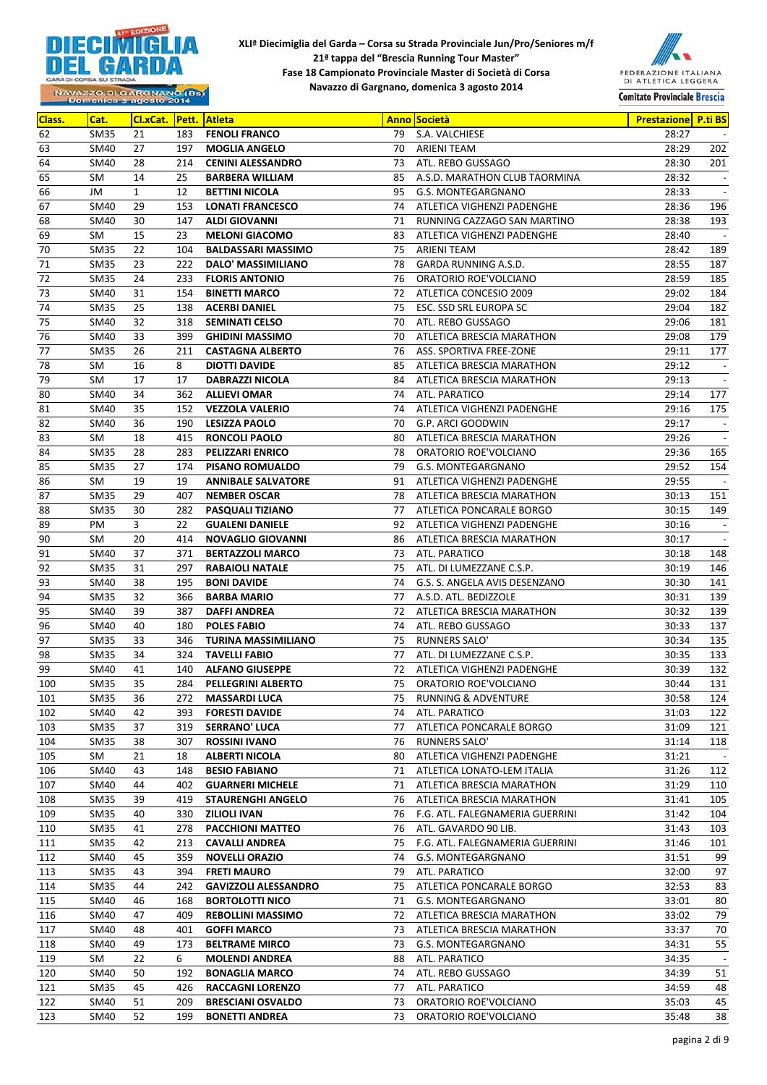



| Class. | Cat.        | Cl.xCat. Pett. Atleta |     |                             |    | <b>Anno Società</b>             | Prestazione P.ti BS |                          |
|--------|-------------|-----------------------|-----|-----------------------------|----|---------------------------------|---------------------|--------------------------|
| 62     | <b>SM35</b> | 21                    | 183 | <b>FENOLI FRANCO</b>        | 79 | S.A. VALCHIESE                  | 28:27               | $\overline{\phantom{a}}$ |
| 63     | <b>SM40</b> | 27                    | 197 | <b>MOGLIA ANGELO</b>        | 70 | ARIENI TEAM                     | 28:29               | 202                      |
| 64     | SM40        | 28                    | 214 | <b>CENINI ALESSANDRO</b>    | 73 | ATL. REBO GUSSAGO               | 28:30               | 201                      |
| 65     | SM          | 14                    | 25  | <b>BARBERA WILLIAM</b>      | 85 | A.S.D. MARATHON CLUB TAORMINA   | 28:32               | $\overline{\phantom{a}}$ |
| 66     | JM          | $\mathbf{1}$          | 12  | <b>BETTINI NICOLA</b>       | 95 | G.S. MONTEGARGNANO              | 28:33               | $\overline{\phantom{a}}$ |
| 67     | SM40        | 29                    | 153 | <b>LONATI FRANCESCO</b>     | 74 | ATLETICA VIGHENZI PADENGHE      | 28:36               | 196                      |
| 68     | SM40        | 30                    | 147 | <b>ALDI GIOVANNI</b>        | 71 | RUNNING CAZZAGO SAN MARTINO     | 28:38               | 193                      |
| 69     | SM          | 15                    | 23  | <b>MELONI GIACOMO</b>       | 83 | ATLETICA VIGHENZI PADENGHE      | 28:40               | $\sim$                   |
| 70     | <b>SM35</b> | 22                    | 104 | <b>BALDASSARI MASSIMO</b>   | 75 | ARIENI TEAM                     | 28:42               | 189                      |
| 71     | <b>SM35</b> | 23                    | 222 | DALO' MASSIMILIANO          | 78 | GARDA RUNNING A.S.D.            | 28:55               | 187                      |
| 72     | <b>SM35</b> | 24                    | 233 | <b>FLORIS ANTONIO</b>       | 76 | ORATORIO ROE'VOLCIANO           | 28:59               | 185                      |
| 73     | SM40        | 31                    | 154 | <b>BINETTI MARCO</b>        | 72 | ATLETICA CONCESIO 2009          | 29:02               | 184                      |
| 74     | <b>SM35</b> | 25                    | 138 | <b>ACERBI DANIEL</b>        | 75 | ESC. SSD SRL EUROPA SC          | 29:04               | 182                      |
| 75     | SM40        | 32                    | 318 | <b>SEMINATI CELSO</b>       | 70 | ATL. REBO GUSSAGO               | 29:06               | 181                      |
| 76     | SM40        | 33                    | 399 | <b>GHIDINI MASSIMO</b>      | 70 | ATLETICA BRESCIA MARATHON       | 29:08               | 179                      |
| 77     | <b>SM35</b> | 26                    | 211 | <b>CASTAGNA ALBERTO</b>     | 76 | ASS. SPORTIVA FREE-ZONE         | 29:11               | 177                      |
| 78     | SM          | 16                    | 8   | <b>DIOTTI DAVIDE</b>        | 85 | ATLETICA BRESCIA MARATHON       | 29:12               | $\sim$                   |
| 79     | SM          | 17                    | 17  | <b>DABRAZZI NICOLA</b>      | 84 | ATLETICA BRESCIA MARATHON       | 29:13               |                          |
| 80     | SM40        | 34                    | 362 | <b>ALLIEVI OMAR</b>         | 74 | ATL. PARATICO                   | 29:14               | 177                      |
| 81     | SM40        | 35                    | 152 | <b>VEZZOLA VALERIO</b>      | 74 | ATLETICA VIGHENZI PADENGHE      | 29:16               | 175                      |
| 82     | SM40        | 36                    | 190 | <b>LESIZZA PAOLO</b>        | 70 | G.P. ARCI GOODWIN               | 29:17               | $\overline{\phantom{a}}$ |
| 83     | SM          | 18                    | 415 | <b>RONCOLI PAOLO</b>        | 80 | ATLETICA BRESCIA MARATHON       | 29:26               | $\blacksquare$           |
| 84     | <b>SM35</b> | 28                    | 283 | <b>PELIZZARI ENRICO</b>     | 78 | ORATORIO ROE'VOLCIANO           | 29:36               | 165                      |
| 85     | <b>SM35</b> | 27                    | 174 | <b>PISANO ROMUALDO</b>      | 79 | G.S. MONTEGARGNANO              | 29:52               | 154                      |
| 86     | SM          | 19                    | 19  | <b>ANNIBALE SALVATORE</b>   | 91 | ATLETICA VIGHENZI PADENGHE      | 29:55               | $\sim$                   |
| 87     | <b>SM35</b> | 29                    | 407 | <b>NEMBER OSCAR</b>         | 78 | ATLETICA BRESCIA MARATHON       | 30:13               | 151                      |
| 88     | <b>SM35</b> | 30                    | 282 | PASQUALI TIZIANO            | 77 | ATLETICA PONCARALE BORGO        | 30:15               | 149                      |
| 89     | PM          | 3                     | 22  | <b>GUALENI DANIELE</b>      | 92 | ATLETICA VIGHENZI PADENGHE      | 30:16               | $\overline{\phantom{a}}$ |
| 90     | SM          | 20                    | 414 | <b>NOVAGLIO GIOVANNI</b>    | 86 | ATLETICA BRESCIA MARATHON       | 30:17               | $\overline{\phantom{a}}$ |
| 91     | SM40        | 37                    | 371 | <b>BERTAZZOLI MARCO</b>     | 73 | ATL. PARATICO                   | 30:18               | 148                      |
| 92     | <b>SM35</b> | 31                    | 297 | <b>RABAIOLI NATALE</b>      | 75 | ATL. DI LUMEZZANE C.S.P.        | 30:19               | 146                      |
| 93     | SM40        | 38                    | 195 | <b>BONI DAVIDE</b>          | 74 | G.S. S. ANGELA AVIS DESENZANO   | 30:30               | 141                      |
| 94     | <b>SM35</b> | 32                    | 366 | <b>BARBA MARIO</b>          | 77 | A.S.D. ATL. BEDIZZOLE           | 30:31               | 139                      |
| 95     | <b>SM40</b> | 39                    | 387 | <b>DAFFI ANDREA</b>         | 72 | ATLETICA BRESCIA MARATHON       | 30:32               | 139                      |
| 96     | SM40        | 40                    | 180 | <b>POLES FABIO</b>          | 74 | ATL. REBO GUSSAGO               | 30:33               | 137                      |
| 97     | <b>SM35</b> | 33                    | 346 | <b>TURINA MASSIMILIANO</b>  | 75 | RUNNERS SALO'                   | 30:34               | 135                      |
| 98     | <b>SM35</b> | 34                    | 324 | <b>TAVELLI FABIO</b>        | 77 | ATL. DI LUMEZZANE C.S.P.        | 30:35               | 133                      |
| 99     | SM40        | 41                    | 140 | <b>ALFANO GIUSEPPE</b>      | 72 | ATLETICA VIGHENZI PADENGHE      | 30:39               | 132                      |
| 100    | <b>SM35</b> | 35                    | 284 | PELLEGRINI ALBERTO          | 75 | ORATORIO ROE'VOLCIANO           | 30:44               | 131                      |
| 101    | SM35        | 36                    | 272 | <b>MASSARDI LUCA</b>        | 75 | <b>RUNNING &amp; ADVENTURE</b>  | 30:58               | 124                      |
| 102    | SM40        | 42                    | 393 | <b>FORESTI DAVIDE</b>       | 74 | ATL. PARATICO                   | 31:03               | 122                      |
| 103    | <b>SM35</b> | 37                    | 319 | <b>SERRANO' LUCA</b>        | 77 | ATLETICA PONCARALE BORGO        | 31:09               | 121                      |
| 104    | SM35        | 38                    | 307 | <b>ROSSINI IVANO</b>        | 76 | <b>RUNNERS SALO'</b>            | 31:14               | 118                      |
| 105    | SM          | 21                    | 18  | ALBERTI NICOLA              | 80 | ATLETICA VIGHENZI PADENGHE      | 31:21               | $\overline{\phantom{a}}$ |
| 106    | SM40        | 43                    | 148 | <b>BESIO FABIANO</b>        | 71 | ATLETICA LONATO-LEM ITALIA      | 31:26               | 112                      |
| 107    | SM40        | 44                    | 402 | <b>GUARNERI MICHELE</b>     | 71 | ATLETICA BRESCIA MARATHON       | 31:29               | 110                      |
| 108    | SM35        | 39                    | 419 | <b>STAURENGHI ANGELO</b>    | 76 | ATLETICA BRESCIA MARATHON       | 31:41               | 105                      |
| 109    | SM35        | 40                    | 330 | <b>ZILIOLI IVAN</b>         | 76 | F.G. ATL. FALEGNAMERIA GUERRINI | 31:42               | 104                      |
| 110    | SM35        | 41                    | 278 | <b>PACCHIONI MATTEO</b>     | 76 | ATL. GAVARDO 90 LIB.            | 31:43               | 103                      |
| 111    | SM35        | 42                    | 213 | <b>CAVALLI ANDREA</b>       | 75 | F.G. ATL. FALEGNAMERIA GUERRINI | 31:46               | 101                      |
| 112    | SM40        | 45                    | 359 | <b>NOVELLI ORAZIO</b>       | 74 | G.S. MONTEGARGNANO              | 31:51               | 99                       |
| 113    | SM35        | 43                    | 394 | <b>FRETI MAURO</b>          | 79 | ATL. PARATICO                   | 32:00               | 97                       |
| 114    | SM35        | 44                    | 242 | <b>GAVIZZOLI ALESSANDRO</b> | 75 | ATLETICA PONCARALE BORGO        | 32:53               | 83                       |
| 115    | SM40        | 46                    | 168 | <b>BORTOLOTTI NICO</b>      | 71 | G.S. MONTEGARGNANO              | 33:01               | 80                       |
| 116    | SM40        | 47                    | 409 | <b>REBOLLINI MASSIMO</b>    | 72 | ATLETICA BRESCIA MARATHON       | 33:02               | 79                       |
| 117    | SM40        | 48                    | 401 | <b>GOFFI MARCO</b>          | 73 | ATLETICA BRESCIA MARATHON       | 33:37               | 70                       |
| 118    | SM40        | 49                    | 173 | <b>BELTRAME MIRCO</b>       | 73 | G.S. MONTEGARGNANO              | 34:31               | 55                       |
| 119    | SM          | 22                    | 6   | <b>MOLENDI ANDREA</b>       | 88 | ATL. PARATICO                   | 34:35               | $\overline{\phantom{a}}$ |
| 120    | SM40        | 50                    | 192 | <b>BONAGLIA MARCO</b>       | 74 | ATL. REBO GUSSAGO               | 34:39               | 51                       |
| 121    | SM35        | 45                    | 426 | <b>RACCAGNI LORENZO</b>     | 77 | ATL. PARATICO                   | 34:59               | 48                       |
| 122    | SM40        | 51                    | 209 | <b>BRESCIANI OSVALDO</b>    | 73 | ORATORIO ROE'VOLCIANO           | 35:03               | 45                       |
| 123    | SM40        | 52                    | 199 | <b>BONETTI ANDREA</b>       | 73 | ORATORIO ROE'VOLCIANO           | 35:48               | 38                       |
|        |             |                       |     |                             |    |                                 |                     |                          |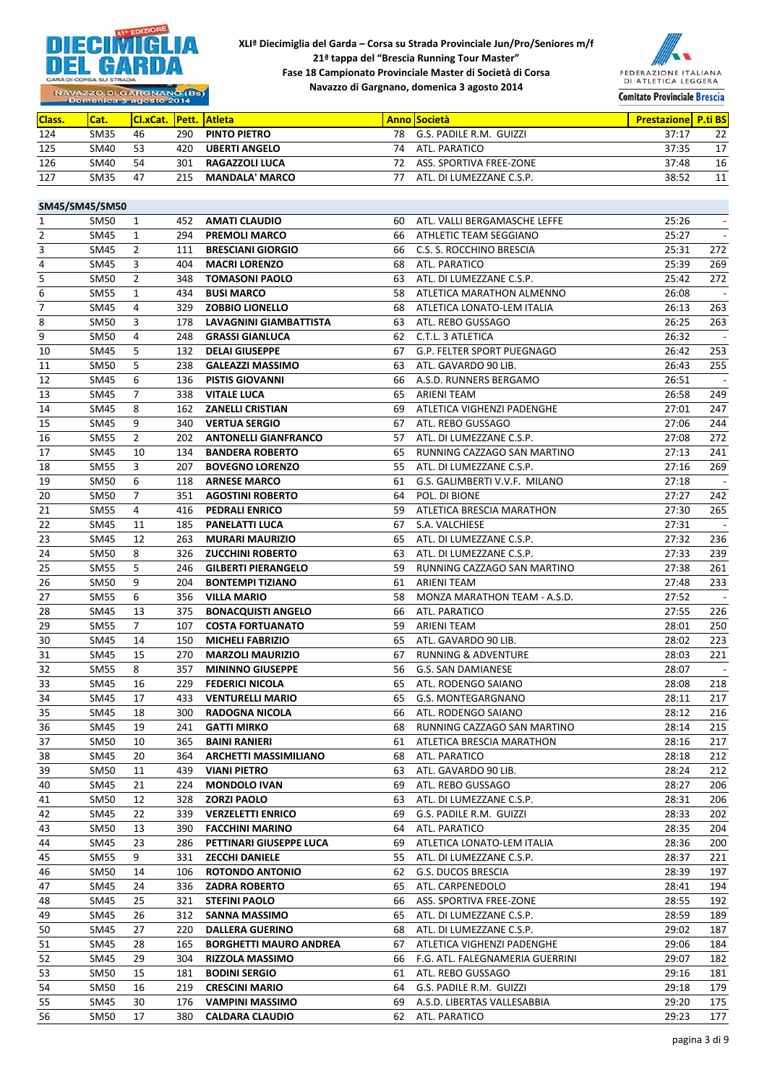



NAVAZZO DI GARGNANO (BS)

| <b>Class.</b> | Cat.        | <b>ICI.xCat. Pett. Atleta</b> |     |                       |     | <b>Anno Società</b>      | <b>Prestazionel P.ti BS</b> |    |
|---------------|-------------|-------------------------------|-----|-----------------------|-----|--------------------------|-----------------------------|----|
| 124           | SM35        | 46                            | 290 | <b>PINTO PIETRO</b>   | 78  | G.S. PADILE R.M. GUIZZI  | 37:17                       | 22 |
| 125           | SM40        | -53                           | 420 | <b>UBERTI ANGELO</b>  | 74  | ATL. PARATICO            | 37:35                       | 17 |
| 126           | SM40        | 54                            | 301 | <b>RAGAZZOLI LUCA</b> | 72. | ASS. SPORTIVA FREE-ZONE  | 37:48                       | 16 |
| 127           | <b>SM35</b> | 47                            | 215 | <b>MANDALA' MARCO</b> |     | ATL. DI LUMEZZANE C.S.P. | 38:52                       | 11 |

|                | SM45/SM45/SM50 |                |     |                               |    |                                 |       |                          |
|----------------|----------------|----------------|-----|-------------------------------|----|---------------------------------|-------|--------------------------|
| 1              | SM50           | 1              | 452 | <b>AMATI CLAUDIO</b>          | 60 | ATL. VALLI BERGAMASCHE LEFFE    | 25:26 | $\overline{\phantom{a}}$ |
| 2              | SM45           | 1              | 294 | <b>PREMOLI MARCO</b>          | 66 | ATHLETIC TEAM SEGGIANO          | 25:27 | $\overline{\phantom{a}}$ |
| 3              | SM45           | $\overline{2}$ | 111 | <b>BRESCIANI GIORGIO</b>      | 66 | C.S. S. ROCCHINO BRESCIA        | 25:31 | 272                      |
| $\sqrt{4}$     | SM45           | 3              | 404 | <b>MACRI LORENZO</b>          | 68 | ATL. PARATICO                   | 25:39 | 269                      |
| 5              | SM50           | $\overline{2}$ | 348 | <b>TOMASONI PAOLO</b>         | 63 | ATL. DI LUMEZZANE C.S.P.        | 25:42 | 272                      |
| 6              | <b>SM55</b>    | $\mathbf{1}$   | 434 | <b>BUSI MARCO</b>             | 58 | ATLETICA MARATHON ALMENNO       | 26:08 | $\overline{\phantom{a}}$ |
| $\overline{7}$ | SM45           | 4              | 329 | <b>ZOBBIO LIONELLO</b>        | 68 | ATLETICA LONATO-LEM ITALIA      | 26:13 | 263                      |
| 8              | SM50           | 3              | 178 | LAVAGNINI GIAMBATTISTA        | 63 | ATL. REBO GUSSAGO               | 26:25 | 263                      |
| 9              | SM50           | 4              | 248 | <b>GRASSI GIANLUCA</b>        | 62 | C.T.L. 3 ATLETICA               | 26:32 | $\sim$                   |
| 10             | SM45           | 5              | 132 | <b>DELAI GIUSEPPE</b>         | 67 | G.P. FELTER SPORT PUEGNAGO      | 26:42 | 253                      |
| 11             | SM50           | 5              | 238 | <b>GALEAZZI MASSIMO</b>       | 63 | ATL. GAVARDO 90 LIB.            | 26:43 | 255                      |
| 12             | SM45           | 6              | 136 | <b>PISTIS GIOVANNI</b>        | 66 | A.S.D. RUNNERS BERGAMO          | 26:51 | $\sim$                   |
| 13             | SM45           | 7              | 338 | <b>VITALE LUCA</b>            | 65 | ARIENI TEAM                     | 26:58 | 249                      |
| 14             | SM45           | 8              | 162 | <b>ZANELLI CRISTIAN</b>       | 69 | ATLETICA VIGHENZI PADENGHE      | 27:01 | 247                      |
| 15             | SM45           | 9              | 340 | <b>VERTUA SERGIO</b>          | 67 | ATL. REBO GUSSAGO               | 27:06 | 244                      |
| 16             | <b>SM55</b>    | $\overline{2}$ | 202 | <b>ANTONELLI GIANFRANCO</b>   | 57 | ATL. DI LUMEZZANE C.S.P.        | 27:08 | 272                      |
| 17             | SM45           | 10             | 134 | <b>BANDERA ROBERTO</b>        | 65 | RUNNING CAZZAGO SAN MARTINO     | 27:13 | 241                      |
| 18             | SM55           | 3              | 207 | <b>BOVEGNO LORENZO</b>        | 55 | ATL. DI LUMEZZANE C.S.P.        | 27:16 | 269                      |
| 19             | SM50           | 6              | 118 | <b>ARNESE MARCO</b>           | 61 | G.S. GALIMBERTI V.V.F. MILANO   | 27:18 | $\sim$                   |
| 20             | SM50           | $\overline{7}$ | 351 | <b>AGOSTINI ROBERTO</b>       | 64 | POL. DI BIONE                   | 27:27 | 242                      |
| 21             | <b>SM55</b>    | 4              | 416 | <b>PEDRALI ENRICO</b>         | 59 | ATLETICA BRESCIA MARATHON       | 27:30 | 265                      |
| 22             | SM45           | 11             | 185 | <b>PANELATTI LUCA</b>         | 67 | S.A. VALCHIESE                  | 27:31 | $\sim$                   |
| 23             | SM45           | 12             | 263 | <b>MURARI MAURIZIO</b>        | 65 | ATL. DI LUMEZZANE C.S.P.        | 27:32 | 236                      |
| 24             | SM50           | 8              | 326 | <b>ZUCCHINI ROBERTO</b>       | 63 | ATL. DI LUMEZZANE C.S.P.        | 27:33 | 239                      |
| 25             | <b>SM55</b>    | 5              | 246 | <b>GILBERTI PIERANGELO</b>    | 59 | RUNNING CAZZAGO SAN MARTINO     | 27:38 | 261                      |
| 26             | SM50           | 9              | 204 | <b>BONTEMPI TIZIANO</b>       | 61 | ARIENI TEAM                     | 27:48 | 233                      |
| 27             | SM55           | 6              | 356 | <b>VILLA MARIO</b>            | 58 | MONZA MARATHON TEAM - A.S.D.    | 27:52 | $\sim$                   |
| 28             | SM45           | 13             | 375 | <b>BONACQUISTI ANGELO</b>     | 66 | ATL. PARATICO                   | 27:55 | 226                      |
| 29             | <b>SM55</b>    | $7^{\circ}$    | 107 | <b>COSTA FORTUANATO</b>       | 59 | ARIENI TEAM                     | 28:01 | 250                      |
| 30             | SM45           | 14             | 150 | <b>MICHELI FABRIZIO</b>       | 65 | ATL. GAVARDO 90 LIB.            | 28:02 | 223                      |
| 31             | SM45           | 15             | 270 | <b>MARZOLI MAURIZIO</b>       | 67 | <b>RUNNING &amp; ADVENTURE</b>  | 28:03 | 221                      |
| 32             | <b>SM55</b>    | 8              | 357 | <b>MININNO GIUSEPPE</b>       | 56 | G.S. SAN DAMIANESE              | 28:07 | $\sim$                   |
| 33             | SM45           | 16             | 229 | <b>FEDERICI NICOLA</b>        | 65 | ATL. RODENGO SAIANO             | 28:08 | 218                      |
| 34             | SM45           | 17             | 433 | <b>VENTURELLI MARIO</b>       | 65 | G.S. MONTEGARGNANO              | 28:11 | 217                      |
| 35             | SM45           | 18             | 300 | <b>RADOGNA NICOLA</b>         | 66 | ATL. RODENGO SAIANO             | 28:12 | 216                      |
| 36             | SM45           | 19             | 241 | <b>GATTI MIRKO</b>            | 68 | RUNNING CAZZAGO SAN MARTINO     | 28:14 | 215                      |
| 37             | SM50           | 10             | 365 | <b>BAINI RANIERI</b>          | 61 | ATLETICA BRESCIA MARATHON       | 28:16 | 217                      |
| 38             | SM45           | 20             | 364 | <b>ARCHETTI MASSIMILIANO</b>  | 68 | ATL. PARATICO                   | 28:18 | 212                      |
| 39             | SM50           | 11             | 439 | <b>VIANI PIETRO</b>           | 63 | ATL. GAVARDO 90 LIB.            | 28:24 | 212                      |
| 40             | SM45           | 21             | 224 | <b>MONDOLO IVAN</b>           | 69 | ATL. REBO GUSSAGO               | 28:27 | 206                      |
| 41             | SM50           | 12             | 328 | <b>ZORZI PAOLO</b>            | 63 | ATL. DI LUMEZZANE C.S.P.        | 28:31 | 206                      |
| 42             | SM45           | 22             | 339 | <b>VERZELETTI ENRICO</b>      | 69 | G.S. PADILE R.M. GUIZZI         | 28:33 | 202                      |
| 43             | <b>SM50</b>    | 13             | 390 | <b>FACCHINI MARINO</b>        | 64 | ATL. PARATICO                   | 28:35 | 204                      |
| 44             | SM45           | 23             | 286 | PETTINARI GIUSEPPE LUCA       | 69 | ATLETICA LONATO-LEM ITALIA      | 28:36 | 200                      |
| 45             | SM55           | 9              | 331 | <b>ZECCHI DANIELE</b>         | 55 | ATL. DI LUMEZZANE C.S.P.        | 28:37 | 221                      |
| 46             | SM50           | 14             | 106 | <b>ROTONDO ANTONIO</b>        | 62 | G.S. DUCOS BRESCIA              | 28:39 | 197                      |
| 47             | SM45           | 24             | 336 | <b>ZADRA ROBERTO</b>          | 65 | ATL. CARPENEDOLO                | 28:41 | 194                      |
| 48             | SM45           | 25             | 321 | <b>STEFINI PAOLO</b>          | 66 | ASS. SPORTIVA FREE-ZONE         | 28:55 | 192                      |
| 49             | SM45           | 26             | 312 | SANNA MASSIMO                 | 65 | ATL. DI LUMEZZANE C.S.P.        | 28:59 | 189                      |
| 50             | SM45           | 27             | 220 | <b>DALLERA GUERINO</b>        | 68 | ATL. DI LUMEZZANE C.S.P.        | 29:02 | 187                      |
| 51             | SM45           | 28             | 165 | <b>BORGHETTI MAURO ANDREA</b> | 67 | ATLETICA VIGHENZI PADENGHE      | 29:06 | 184                      |
| 52             | SM45           | 29             | 304 | <b>RIZZOLA MASSIMO</b>        | 66 | F.G. ATL. FALEGNAMERIA GUERRINI | 29:07 | 182                      |
| 53             | SM50           | 15             | 181 | <b>BODINI SERGIO</b>          | 61 | ATL. REBO GUSSAGO               | 29:16 | 181                      |
| 54             | SM50           | 16             | 219 | <b>CRESCINI MARIO</b>         | 64 | G.S. PADILE R.M. GUIZZI         | 29:18 | 179                      |
| 55             | SM45           | 30             | 176 | <b>VAMPINI MASSIMO</b>        | 69 | A.S.D. LIBERTAS VALLESABBIA     | 29:20 | 175                      |
| 56             | SM50           | 17             | 380 | <b>CALDARA CLAUDIO</b>        | 62 | ATL. PARATICO                   | 29:23 | 177                      |
|                |                |                |     |                               |    |                                 |       |                          |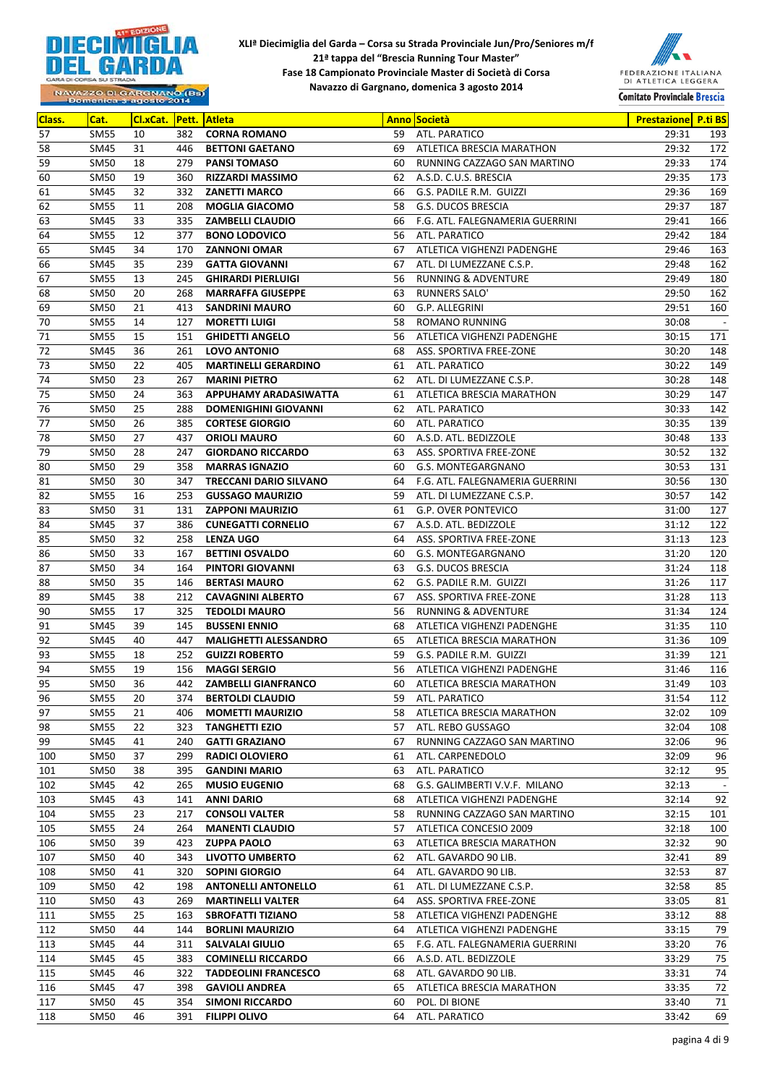



| Class.     | Cat.                | Cl.xCat. |            | <b>Pett. Atleta</b>                                    |          | <b>Anno Società</b>                                         | <b>Prestazione</b> P.ti BS |            |
|------------|---------------------|----------|------------|--------------------------------------------------------|----------|-------------------------------------------------------------|----------------------------|------------|
| 57         | <b>SM55</b>         | 10       | 382        | <b>CORNA ROMANO</b>                                    | 59       | ATL. PARATICO                                               | 29:31                      | 193        |
| 58         | <b>SM45</b>         | 31       | 446        | <b>BETTONI GAETANO</b>                                 | 69       | ATLETICA BRESCIA MARATHON                                   | 29:32                      | 172        |
| 59         | <b>SM50</b>         | 18       | 279        | <b>PANSI TOMASO</b>                                    | 60       | RUNNING CAZZAGO SAN MARTINO                                 | 29:33                      | 174        |
| 60         | SM50                | 19       | 360        | <b>RIZZARDI MASSIMO</b>                                | 62       | A.S.D. C.U.S. BRESCIA                                       | 29:35                      | 173        |
| 61         | SM45                | 32       | 332        | <b>ZANETTI MARCO</b>                                   | 66       | G.S. PADILE R.M. GUIZZI                                     | 29:36                      | 169        |
| 62         | <b>SM55</b>         | 11       | 208        | <b>MOGLIA GIACOMO</b>                                  | 58       | <b>G.S. DUCOS BRESCIA</b>                                   | 29:37                      | 187        |
| 63         | SM45                | 33       | 335        | <b>ZAMBELLI CLAUDIO</b>                                | 66       | F.G. ATL. FALEGNAMERIA GUERRINI                             | 29:41                      | 166        |
| 64         | <b>SM55</b>         | 12       | 377        | <b>BONO LODOVICO</b>                                   | 56       | ATL. PARATICO                                               | 29:42                      | 184        |
| 65         | <b>SM45</b>         | 34       | 170        | <b>ZANNONI OMAR</b>                                    | 67       | ATLETICA VIGHENZI PADENGHE                                  | 29:46                      | 163        |
| 66         | SM45                | 35       | 239        | <b>GATTA GIOVANNI</b>                                  | 67       | ATL. DI LUMEZZANE C.S.P.                                    | 29:48                      | 162        |
| 67         | <b>SM55</b>         | 13       | 245        | <b>GHIRARDI PIERLUIGI</b>                              | 56       | <b>RUNNING &amp; ADVENTURE</b>                              | 29:49                      | 180        |
| 68         | <b>SM50</b>         | 20       | 268        | <b>MARRAFFA GIUSEPPE</b>                               | 63       | RUNNERS SALO'                                               | 29:50                      | 162        |
| 69         | SM50                | 21       | 413        | <b>SANDRINI MAURO</b>                                  | 60       | G.P. ALLEGRINI                                              | 29:51                      | 160        |
| 70         | <b>SM55</b>         | 14       | 127        | <b>MORETTI LUIGI</b>                                   | 58       | <b>ROMANO RUNNING</b>                                       | 30:08                      | $\sim$ $-$ |
| 71         | <b>SM55</b>         | 15       | 151        | <b>GHIDETTI ANGELO</b>                                 | 56       | ATLETICA VIGHENZI PADENGHE                                  | 30:15                      | 171        |
| 72         | <b>SM45</b>         | 36       | 261        | <b>LOVO ANTONIO</b>                                    | 68       | ASS. SPORTIVA FREE-ZONE                                     | 30:20                      | 148        |
| 73         | <b>SM50</b>         | 22       | 405        | <b>MARTINELLI GERARDINO</b>                            | 61       | ATL. PARATICO                                               | 30:22                      | 149        |
| 74         | <b>SM50</b>         | 23       | 267        | <b>MARINI PIETRO</b>                                   | 62       | ATL. DI LUMEZZANE C.S.P.                                    | 30:28                      | 148        |
| 75         | <b>SM50</b>         | 24       | 363        | APPUHAMY ARADASIWATTA                                  | 61       | ATLETICA BRESCIA MARATHON                                   | 30:29                      | 147        |
| 76         | <b>SM50</b>         | 25       | 288        | <b>DOMENIGHINI GIOVANNI</b>                            | 62       | ATL. PARATICO                                               | 30:33                      | 142        |
| 77         | SM50                | 26       | 385        | <b>CORTESE GIORGIO</b>                                 | 60       | ATL. PARATICO                                               | 30:35                      | 139        |
| 78         | <b>SM50</b>         | 27       | 437        | <b>ORIOLI MAURO</b>                                    | 60       | A.S.D. ATL. BEDIZZOLE                                       | 30:48                      | 133        |
| 79         | SM50                | 28       | 247        | <b>GIORDANO RICCARDO</b>                               | 63       | ASS. SPORTIVA FREE-ZONE                                     | 30:52                      | 132        |
| 80         | <b>SM50</b>         | 29       | 358        | <b>MARRAS IGNAZIO</b>                                  | 60       | G.S. MONTEGARGNANO                                          | 30:53                      | 131        |
| 81         | <b>SM50</b>         | 30       | 347        | <b>TRECCANI DARIO SILVANO</b>                          | 64       | F.G. ATL. FALEGNAMERIA GUERRINI                             | 30:56                      | 130        |
| 82         | <b>SM55</b>         | 16       | 253        | <b>GUSSAGO MAURIZIO</b>                                | 59       | ATL. DI LUMEZZANE C.S.P.                                    | 30:57                      | 142        |
| 83         | <b>SM50</b>         | 31       | 131        | <b>ZAPPONI MAURIZIO</b>                                | 61       | <b>G.P. OVER PONTEVICO</b>                                  | 31:00                      | 127        |
| 84         | SM45                | 37       | 386        | <b>CUNEGATTI CORNELIO</b>                              | 67       | A.S.D. ATL. BEDIZZOLE                                       | 31:12                      | 122        |
| 85         | <b>SM50</b>         | 32       | 258        | <b>LENZA UGO</b>                                       | 64       | ASS. SPORTIVA FREE-ZONE                                     | 31:13                      | 123        |
| 86         | <b>SM50</b>         | 33       | 167        | <b>BETTINI OSVALDO</b>                                 | 60       | G.S. MONTEGARGNANO                                          | 31:20                      | 120        |
| 87         | SM50                | 34       | 164        | <b>PINTORI GIOVANNI</b>                                | 63       | <b>G.S. DUCOS BRESCIA</b>                                   | 31:24                      | 118        |
| 88         | SM50                | 35       | 146        | <b>BERTASI MAURO</b>                                   | 62       | G.S. PADILE R.M. GUIZZI                                     | 31:26                      | 117        |
| 89         | SM45                | 38       | 212        | <b>CAVAGNINI ALBERTO</b>                               | 67       | ASS. SPORTIVA FREE-ZONE                                     | 31:28                      | 113        |
| 90         | <b>SM55</b>         | 17       | 325        | <b>TEDOLDI MAURO</b>                                   | 56       | <b>RUNNING &amp; ADVENTURE</b>                              | 31:34                      | 124        |
| 91         | SM45                | 39       | 145        | <b>BUSSENI ENNIO</b>                                   | 68       | ATLETICA VIGHENZI PADENGHE                                  | 31:35                      | 110        |
| 92         | SM45                | 40       | 447        | <b>MALIGHETTI ALESSANDRO</b>                           | 65       | ATLETICA BRESCIA MARATHON                                   | 31:36                      | 109        |
| 93         | <b>SM55</b>         | 18       | 252        | <b>GUIZZI ROBERTO</b>                                  | 59       | G.S. PADILE R.M. GUIZZI                                     | 31:39                      | 121        |
| 94         | <b>SM55</b>         | 19       | 156        | <b>MAGGI SERGIO</b>                                    | 56       | ATLETICA VIGHENZI PADENGHE                                  | 31:46                      | 116        |
| 95         | <b>SM50</b>         | 36       | 442        | <b>ZAMBELLI GIANFRANCO</b>                             | 60       | ATLETICA BRESCIA MARATHON                                   | 31:49                      | 103        |
| 96         | <b>SM55</b>         | 20       | 374        | <b>BERTOLDI CLAUDIO</b>                                | 59       | ATL. PARATICO                                               | 31:54                      | 112        |
| 97         | SM55                | 21       | 406        | <b>MOMETTI MAURIZIO</b>                                | 58       | ATLETICA BRESCIA MARATHON                                   | 32:02                      | 109        |
| 98         | <b>SM55</b>         | 22       | 323        | <b>TANGHETTI EZIO</b>                                  | 57       | ATL. REBO GUSSAGO                                           | 32:04                      | 108        |
| 99         | SM45                | 41       | 240        | <b>GATTI GRAZIANO</b>                                  | 67       | RUNNING CAZZAGO SAN MARTINO                                 | 32:06                      | 96         |
| 100        | SM50                | 37       | 299        | <b>RADICI OLOVIERO</b>                                 | 61       | ATL. CARPENEDOLO                                            | 32:09                      | 96         |
| 101        | SM50                | 38       | 395        | <b>GANDINI MARIO</b>                                   | 63       | ATL. PARATICO                                               | 32:12                      | 95         |
| 102        | SM45                | 42       | 265        | <b>MUSIO EUGENIO</b>                                   | 68       | G.S. GALIMBERTI V.V.F. MILANO<br>ATLETICA VIGHENZI PADENGHE | 32:13<br>32:14             | $\sim$     |
| 103        | SM45                | 43       | 141        | <b>ANNI DARIO</b>                                      | 68       | RUNNING CAZZAGO SAN MARTINO                                 |                            | 92         |
| 104        | <b>SM55</b>         | 23<br>24 | 217<br>264 | <b>CONSOLI VALTER</b>                                  | 58<br>57 |                                                             | 32:15                      | 101        |
| 105<br>106 | <b>SM55</b><br>SM50 | 39       | 423        | <b>MANENTI CLAUDIO</b><br><b>ZUPPA PAOLO</b>           | 63       | ATLETICA CONCESIO 2009<br>ATLETICA BRESCIA MARATHON         | 32:18<br>32:32             | 100        |
| 107        | SM50                | 40       | 343        | LIVOTTO UMBERTO                                        | 62       | ATL. GAVARDO 90 LIB.                                        | 32:41                      | 90<br>89   |
| 108        | SM50                | 41       | 320        | <b>SOPINI GIORGIO</b>                                  | 64       | ATL. GAVARDO 90 LIB.                                        | 32:53                      | 87         |
|            |                     | 42       | 198        |                                                        |          |                                                             |                            |            |
| 109<br>110 | SM50<br>SM50        | 43       | 269        | <b>ANTONELLI ANTONELLO</b><br><b>MARTINELLI VALTER</b> | 61<br>64 | ATL. DI LUMEZZANE C.S.P.<br>ASS. SPORTIVA FREE-ZONE         | 32:58<br>33:05             | 85<br>81   |
| 111        | <b>SM55</b>         | 25       | 163        | <b>SBROFATTI TIZIANO</b>                               | 58       | ATLETICA VIGHENZI PADENGHE                                  | 33:12                      | 88         |
| 112        | SM50                | 44       | 144        | <b>BORLINI MAURIZIO</b>                                | 64       | ATLETICA VIGHENZI PADENGHE                                  | 33:15                      | 79         |
| 113        | SM45                | 44       | 311        | <b>SALVALAI GIULIO</b>                                 | 65       | F.G. ATL. FALEGNAMERIA GUERRINI                             | 33:20                      | 76         |
| 114        | SM45                | 45       | 383        | <b>COMINELLI RICCARDO</b>                              | 66       | A.S.D. ATL. BEDIZZOLE                                       | 33:29                      | 75         |
| 115        | SM45                | 46       | 322        | <b>TADDEOLINI FRANCESCO</b>                            | 68       | ATL. GAVARDO 90 LIB.                                        | 33:31                      | 74         |
| 116        | SM45                | 47       | 398        | <b>GAVIOLI ANDREA</b>                                  | 65       | ATLETICA BRESCIA MARATHON                                   | 33:35                      | 72         |
| 117        | SM50                | 45       | 354        | <b>SIMONI RICCARDO</b>                                 | 60       | POL. DI BIONE                                               | 33:40                      | 71         |
| 118        | SM50                | 46       | 391        | <b>FILIPPI OLIVO</b>                                   | 64       | ATL. PARATICO                                               | 33:42                      | 69         |
|            |                     |          |            |                                                        |          |                                                             |                            |            |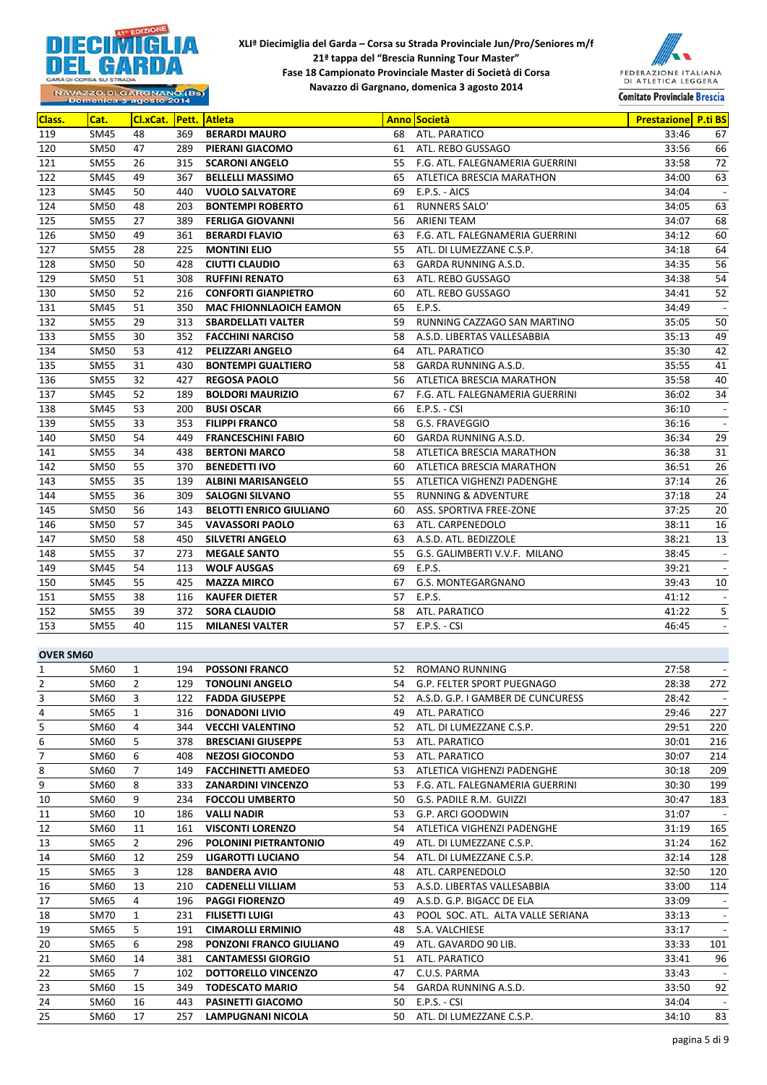



| Class.           | Cat.        | Cl.xCat.       |     | <b>Pett. Atleta</b>            |    | <b>Anno Società</b>                  | <b>Prestazione</b> P.ti BS |                          |
|------------------|-------------|----------------|-----|--------------------------------|----|--------------------------------------|----------------------------|--------------------------|
| 119              | SM45        | 48             | 369 | <b>BERARDI MAURO</b>           | 68 | ATL. PARATICO                        | 33:46                      | 67                       |
| 120              | <b>SM50</b> | 47             | 289 | PIERANI GIACOMO                |    | 61 ATL. REBO GUSSAGO                 | 33:56                      | 66                       |
| 121              | <b>SM55</b> | 26             | 315 | <b>SCARONI ANGELO</b>          |    | 55 F.G. ATL. FALEGNAMERIA GUERRINI   | 33:58                      | 72                       |
| 122              | <b>SM45</b> | 49             | 367 | <b>BELLELLI MASSIMO</b>        |    | 65 ATLETICA BRESCIA MARATHON         | 34:00                      | 63                       |
| 123              | <b>SM45</b> | 50             | 440 | <b>VUOLO SALVATORE</b>         | 69 | E.P.S. - AICS                        | 34:04                      | $\overline{a}$           |
| 124              | <b>SM50</b> | 48             | 203 | <b>BONTEMPI ROBERTO</b>        | 61 | <b>RUNNERS SALO'</b>                 | 34:05                      | 63                       |
| 125              | <b>SM55</b> | 27             | 389 | <b>FERLIGA GIOVANNI</b>        | 56 | ARIENI TEAM                          | 34:07                      | 68                       |
| 126              | <b>SM50</b> | 49             | 361 | <b>BERARDI FLAVIO</b>          | 63 | F.G. ATL. FALEGNAMERIA GUERRINI      | 34:12                      | 60                       |
| 127              | <b>SM55</b> | 28             | 225 | <b>MONTINI ELIO</b>            |    | 55 ATL. DI LUMEZZANE C.S.P.          | 34:18                      | 64                       |
| 128              | <b>SM50</b> | 50             | 428 | <b>CIUTTI CLAUDIO</b>          | 63 | GARDA RUNNING A.S.D.                 | 34:35                      | 56                       |
| 129              | <b>SM50</b> | 51             | 308 | <b>RUFFINI RENATO</b>          | 63 | ATL. REBO GUSSAGO                    | 34:38                      | 54                       |
| 130              | <b>SM50</b> | 52             | 216 | <b>CONFORTI GIANPIETRO</b>     | 60 | ATL. REBO GUSSAGO                    | 34:41                      | 52                       |
| 131              | SM45        | 51             | 350 | <b>MAC FHIONNLAOICH EAMON</b>  | 65 | E.P.S.                               | 34:49                      | $\overline{a}$           |
| 132              | <b>SM55</b> | 29             | 313 | <b>SBARDELLATI VALTER</b>      | 59 | RUNNING CAZZAGO SAN MARTINO          | 35:05                      | 50                       |
| 133              | <b>SM55</b> | 30             | 352 | <b>FACCHINI NARCISO</b>        | 58 | A.S.D. LIBERTAS VALLESABBIA          | 35:13                      | 49                       |
|                  |             |                |     |                                |    |                                      |                            |                          |
| 134              | SM50        | 53             | 412 | <b>PELIZZARI ANGELO</b>        |    | 64 ATL. PARATICO                     | 35:30                      | 42                       |
| 135              | <b>SM55</b> | 31             | 430 | <b>BONTEMPI GUALTIERO</b>      |    | 58 GARDA RUNNING A.S.D.              | 35:55                      | 41                       |
| 136              | <b>SM55</b> | 32             | 427 | <b>REGOSA PAOLO</b>            |    | 56 ATLETICA BRESCIA MARATHON         | 35:58                      | 40                       |
| 137              | <b>SM45</b> | 52             | 189 | <b>BOLDORI MAURIZIO</b>        |    | 67 F.G. ATL. FALEGNAMERIA GUERRINI   | 36:02                      | 34                       |
| 138              | <b>SM45</b> | 53             | 200 | <b>BUSI OSCAR</b>              | 66 | $E.P.S. - CSI$                       | 36:10                      | $\overline{a}$           |
| 139              | <b>SM55</b> | 33             | 353 | <b>FILIPPI FRANCO</b>          | 58 | G.S. FRAVEGGIO                       | 36:16                      | $\overline{\phantom{a}}$ |
| 140              | <b>SM50</b> | 54             | 449 | <b>FRANCESCHINI FABIO</b>      | 60 | GARDA RUNNING A.S.D.                 | 36:34                      | 29                       |
| 141              | <b>SM55</b> | 34             | 438 | <b>BERTONI MARCO</b>           |    | 58 ATLETICA BRESCIA MARATHON         | 36:38                      | 31                       |
| 142              | SM50        | 55             | 370 | <b>BENEDETTI IVO</b>           |    | 60 ATLETICA BRESCIA MARATHON         | 36:51                      | 26                       |
| 143              | <b>SM55</b> | 35             | 139 | <b>ALBINI MARISANGELO</b>      |    | 55 ATLETICA VIGHENZI PADENGHE        | 37:14                      | 26                       |
| 144              | <b>SM55</b> | 36             | 309 | <b>SALOGNI SILVANO</b>         |    | 55 RUNNING & ADVENTURE               | 37:18                      | 24                       |
| 145              | SM50        | 56             | 143 | <b>BELOTTI ENRICO GIULIANO</b> |    | 60 ASS. SPORTIVA FREE-ZONE           | 37:25                      | 20                       |
| 146              | SM50        | 57             | 345 | <b>VAVASSORI PAOLO</b>         |    | 63 ATL. CARPENEDOLO                  | 38:11                      | 16                       |
| 147              | SM50        | 58             | 450 | <b>SILVETRI ANGELO</b>         | 63 | A.S.D. ATL. BEDIZZOLE                | 38:21                      | 13                       |
| 148              | <b>SM55</b> | 37             | 273 | <b>MEGALE SANTO</b>            | 55 | G.S. GALIMBERTI V.V.F. MILANO        | 38:45                      | $\overline{a}$           |
| 149              | SM45        | 54             | 113 | <b>WOLF AUSGAS</b>             | 69 | E.P.S.                               | 39:21                      | $\overline{a}$           |
| 150              | <b>SM45</b> | 55             | 425 | <b>MAZZA MIRCO</b>             | 67 | G.S. MONTEGARGNANO                   | 39:43                      | 10                       |
| 151              | <b>SM55</b> | 38             | 116 | <b>KAUFER DIETER</b>           | 57 | E.P.S.                               | 41:12                      | $\overline{a}$           |
| 152              | <b>SM55</b> | 39             | 372 | <b>SORA CLAUDIO</b>            | 58 | ATL. PARATICO                        | 41:22                      | 5                        |
| 153              | <b>SM55</b> | 40             | 115 | <b>MILANESI VALTER</b>         | 57 | $E.P.S. - CSI$                       | 46:45                      |                          |
|                  |             |                |     |                                |    |                                      |                            |                          |
| <b>OVER SM60</b> |             |                |     |                                |    |                                      |                            |                          |
| 1                | SM60        | 1              | 194 | <b>POSSONI FRANCO</b>          | 52 | <b>ROMANO RUNNING</b>                | 27:58                      | $\overline{a}$           |
| $\overline{2}$   | SM60        | $\overline{2}$ | 129 | <b>TONOLINI ANGELO</b>         |    | 54 G.P. FELTER SPORT PUEGNAGO        | 28:38                      | 272                      |
| 3                | SM60        | 3              | 122 | <b>FADDA GIUSEPPE</b>          |    | 52 A.S.D. G.P. I GAMBER DE CUNCURESS | 28:42                      | $\overline{a}$           |
| 4                | SM65        | 1              | 316 | <b>DONADONI LIVIO</b>          | 49 | ATL. PARATICO                        | 29:46                      | 227                      |
| 5                | SM60        | 4              | 344 | <b>VECCHI VALENTINO</b>        |    | 52 ATL. DI LUMEZZANE C.S.P.          | 29:51                      | 220                      |
| 6                | SM60        | 5              | 378 | <b>BRESCIANI GIUSEPPE</b>      | 53 | ATL. PARATICO                        | 30:01                      | 216                      |
| $\overline{7}$   | SM60        | 6              | 408 | <b>NEZOSI GIOCONDO</b>         | 53 | ATL. PARATICO                        | 30:07                      | 214                      |
| 8                | SM60        | 7              | 149 | <b>FACCHINETTI AMEDEO</b>      | 53 | ATLETICA VIGHENZI PADENGHE           | 30:18                      | 209                      |
| 9                | SM60        | 8              | 333 | <b>ZANARDINI VINCENZO</b>      | 53 | F.G. ATL. FALEGNAMERIA GUERRINI      | 30:30                      | 199                      |
| 10               | SM60        | 9              | 234 | <b>FOCCOLI UMBERTO</b>         | 50 | G.S. PADILE R.M. GUIZZI              | 30:47                      | 183                      |
| 11               | SM60        | 10             | 186 | <b>VALLI NADIR</b>             |    | 53 G.P. ARCI GOODWIN                 | 31:07                      | $\overline{a}$           |
| 12               | SM60        | 11             | 161 | <b>VISCONTI LORENZO</b>        | 54 | ATLETICA VIGHENZI PADENGHE           | 31:19                      | 165                      |
| 13               | SM65        | $\overline{2}$ | 296 | POLONINI PIETRANTONIO          | 49 | ATL. DI LUMEZZANE C.S.P.             | 31:24                      | 162                      |
| 14               | SM60        | 12             | 259 | LIGAROTTI LUCIANO              | 54 | ATL. DI LUMEZZANE C.S.P.             | 32:14                      | 128                      |
|                  |             |                |     |                                |    |                                      |                            |                          |
| 15               | SM65        | 3              | 128 | <b>BANDERA AVIO</b>            | 48 | ATL. CARPENEDOLO                     | 32:50                      | 120                      |
| 16               | SM60        | 13             | 210 | <b>CADENELLI VILLIAM</b>       | 53 | A.S.D. LIBERTAS VALLESABBIA          | 33:00                      | 114                      |
| 17               | SM65        | 4              | 196 | <b>PAGGI FIORENZO</b>          | 49 | A.S.D. G.P. BIGACC DE ELA            | 33:09                      |                          |
| 18               | SM70        | $\mathbf{1}$   | 231 | <b>FILISETTI LUIGI</b>         | 43 | POOL SOC. ATL. ALTA VALLE SERIANA    | 33:13                      |                          |
| 19               | SM65        | 5              | 191 | <b>CIMAROLLI ERMINIO</b>       | 48 | S.A. VALCHIESE                       | 33:17                      | $\overline{\phantom{a}}$ |
| 20               | SM65        | 6              | 298 | PONZONI FRANCO GIULIANO        | 49 | ATL. GAVARDO 90 LIB.                 | 33:33                      | 101                      |
| 21               | SM60        | 14             | 381 | <b>CANTAMESSI GIORGIO</b>      | 51 | ATL. PARATICO                        | 33:41                      | 96                       |
| 22               | SM65        | $\overline{7}$ | 102 | DOTTORELLO VINCENZO            | 47 | C.U.S. PARMA                         | 33:43                      | $\overline{\phantom{a}}$ |
| 23               | SM60        | 15             | 349 | <b>TODESCATO MARIO</b>         | 54 | GARDA RUNNING A.S.D.                 | 33:50                      | 92                       |
| 24               | SM60        | 16             | 443 | PASINETTI GIACOMO              | 50 | $E.P.S. - CSI$                       | 34:04                      | $\overline{\phantom{a}}$ |
| 25               | SM60        | 17             | 257 | LAMPUGNANI NICOLA              | 50 | ATL. DI LUMEZZANE C.S.P.             | 34:10                      | 83                       |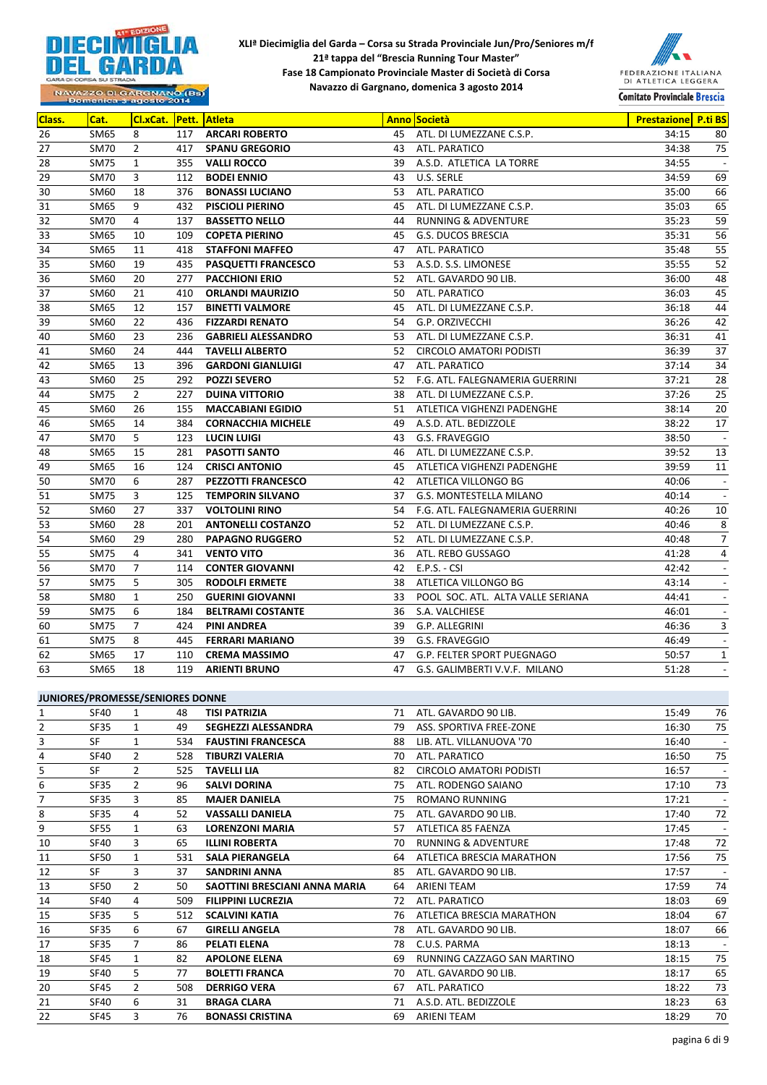



NAVAZZO DI GARGNANO (BS)<br>Domenica 3 agosto 2014

| Class. | Cat.        | Cl.xCat.       |     | <b>Pett. Atleta</b>        |    | <b>Anno Società</b>               | <b>Prestazione</b> P.ti BS |                          |
|--------|-------------|----------------|-----|----------------------------|----|-----------------------------------|----------------------------|--------------------------|
| 26     | SM65        | 8              | 117 | <b>ARCARI ROBERTO</b>      | 45 | ATL. DI LUMEZZANE C.S.P.          | 34:15                      | 80                       |
| 27     | SM70        | $\overline{2}$ | 417 | <b>SPANU GREGORIO</b>      |    | 43 ATL. PARATICO                  | 34:38                      | 75                       |
| 28     | <b>SM75</b> | $\mathbf{1}$   | 355 | <b>VALLI ROCCO</b>         | 39 | A.S.D. ATLETICA LA TORRE          | 34:55                      | $\overline{\phantom{a}}$ |
| 29     | <b>SM70</b> | 3              | 112 | <b>BODEI ENNIO</b>         | 43 | U.S. SERLE                        | 34:59                      | 69                       |
| 30     | SM60        | 18             | 376 | <b>BONASSI LUCIANO</b>     | 53 | ATL. PARATICO                     | 35:00                      | 66                       |
| 31     | <b>SM65</b> | 9              | 432 | <b>PISCIOLI PIERINO</b>    | 45 | ATL. DI LUMEZZANE C.S.P.          | 35:03                      | 65                       |
| 32     | <b>SM70</b> | 4              | 137 | <b>BASSETTO NELLO</b>      | 44 | <b>RUNNING &amp; ADVENTURE</b>    | 35:23                      | 59                       |
| 33     | SM65        | 10             | 109 | <b>COPETA PIERINO</b>      | 45 | <b>G.S. DUCOS BRESCIA</b>         | 35:31                      | 56                       |
| 34     | SM65        | 11             | 418 | <b>STAFFONI MAFFEO</b>     | 47 | ATL. PARATICO                     | 35:48                      | 55                       |
| 35     | SM60        | 19             | 435 | <b>PASQUETTI FRANCESCO</b> | 53 | A.S.D. S.S. LIMONESE              | 35:55                      | 52                       |
| 36     | SM60        | 20             | 277 | <b>PACCHIONI ERIO</b>      | 52 | ATL. GAVARDO 90 LIB.              | 36:00                      | 48                       |
| 37     | SM60        | 21             | 410 | <b>ORLANDI MAURIZIO</b>    | 50 | ATL. PARATICO                     | 36:03                      | 45                       |
| 38     | SM65        | 12             | 157 | <b>BINETTI VALMORE</b>     | 45 | ATL. DI LUMEZZANE C.S.P.          | 36:18                      | 44                       |
| 39     | SM60        | 22             | 436 | <b>FIZZARDI RENATO</b>     | 54 | G.P. ORZIVECCHI                   | 36:26                      | 42                       |
| 40     | SM60        | 23             | 236 | <b>GABRIELI ALESSANDRO</b> | 53 | ATL. DI LUMEZZANE C.S.P.          | 36:31                      | 41                       |
| 41     | SM60        | 24             | 444 | <b>TAVELLI ALBERTO</b>     | 52 | CIRCOLO AMATORI PODISTI           | 36:39                      | 37                       |
| 42     | SM65        | 13             | 396 | <b>GARDONI GIANLUIGI</b>   | 47 | ATL. PARATICO                     | 37:14                      | 34                       |
| 43     | SM60        | 25             | 292 | <b>POZZI SEVERO</b>        | 52 | F.G. ATL. FALEGNAMERIA GUERRINI   | 37:21                      | 28                       |
| 44     | <b>SM75</b> | $\overline{2}$ | 227 | <b>DUINA VITTORIO</b>      | 38 | ATL. DI LUMEZZANE C.S.P.          | 37:26                      | 25                       |
| 45     | SM60        | 26             | 155 | <b>MACCABIANI EGIDIO</b>   | 51 | ATLETICA VIGHENZI PADENGHE        | 38:14                      | 20                       |
| 46     | SM65        | 14             | 384 | <b>CORNACCHIA MICHELE</b>  | 49 | A.S.D. ATL. BEDIZZOLE             | 38:22                      | 17                       |
| 47     | <b>SM70</b> | 5              | 123 | <b>LUCIN LUIGI</b>         | 43 | G.S. FRAVEGGIO                    | 38:50                      | $\overline{\phantom{a}}$ |
| 48     | SM65        | 15             | 281 | <b>PASOTTI SANTO</b>       | 46 | ATL. DI LUMEZZANE C.S.P.          | 39:52                      | 13                       |
| 49     | SM65        | 16             | 124 | <b>CRISCI ANTONIO</b>      | 45 | ATLETICA VIGHENZI PADENGHE        | 39:59                      | 11                       |
| 50     | <b>SM70</b> | 6              | 287 | <b>PEZZOTTI FRANCESCO</b>  | 42 | ATLETICA VILLONGO BG              | 40:06                      | $\overline{\phantom{a}}$ |
| 51     | SM75        | 3              | 125 | <b>TEMPORIN SILVANO</b>    | 37 | <b>G.S. MONTESTELLA MILANO</b>    | 40:14                      | $\overline{\phantom{a}}$ |
| 52     | SM60        | 27             | 337 | <b>VOLTOLINI RINO</b>      | 54 | F.G. ATL. FALEGNAMERIA GUERRINI   | 40:26                      | 10                       |
| 53     | SM60        | 28             | 201 | <b>ANTONELLI COSTANZO</b>  |    | 52 ATL. DI LUMEZZANE C.S.P.       | 40:46                      | 8                        |
| 54     | SM60        | 29             | 280 | <b>PAPAGNO RUGGERO</b>     | 52 | ATL. DI LUMEZZANE C.S.P.          | 40:48                      | 7                        |
| 55     | <b>SM75</b> | 4              | 341 | <b>VENTO VITO</b>          | 36 | ATL. REBO GUSSAGO                 | 41:28                      | 4                        |
| 56     | <b>SM70</b> | $\overline{7}$ | 114 | <b>CONTER GIOVANNI</b>     | 42 | E.P.S. - CSI                      | 42:42                      | $\overline{\phantom{a}}$ |
| 57     | <b>SM75</b> | 5              | 305 | <b>RODOLFI ERMETE</b>      | 38 | ATLETICA VILLONGO BG              | 43:14                      | $\overline{\phantom{a}}$ |
| 58     | <b>SM80</b> | $\mathbf{1}$   | 250 | <b>GUERINI GIOVANNI</b>    | 33 | POOL SOC. ATL. ALTA VALLE SERIANA | 44:41                      | $\overline{\phantom{a}}$ |
| 59     | <b>SM75</b> | 6              | 184 | <b>BELTRAMI COSTANTE</b>   | 36 | S.A. VALCHIESE                    | 46:01                      | $\overline{\phantom{a}}$ |
| 60     | <b>SM75</b> | $\overline{7}$ | 424 | <b>PINI ANDREA</b>         | 39 | G.P. ALLEGRINI                    | 46:36                      | 3                        |
| 61     | <b>SM75</b> | 8              | 445 | <b>FERRARI MARIANO</b>     | 39 | G.S. FRAVEGGIO                    | 46:49                      |                          |
| 62     | SM65        | 17             | 110 | <b>CREMA MASSIMO</b>       | 47 | G.P. FELTER SPORT PUEGNAGO        | 50:57                      | $\mathbf{1}$             |
| 63     | SM65        | 18             | 119 | <b>ARIENTI BRUNO</b>       |    | 47 G.S. GALIMBERTI V.V.F. MILANO  | 51:28                      |                          |

## **JUNIORES/PROMESSE/SENIORES DONNE**

|                | JUNIUMLY/ I NUIVILJJL/ JLIVIUMLY DUIVIVL |                |     |                               |    |                                |       |                          |
|----------------|------------------------------------------|----------------|-----|-------------------------------|----|--------------------------------|-------|--------------------------|
| 1              | <b>SF40</b>                              | $\mathbf{1}$   | 48  | <b>TISI PATRIZIA</b>          | 71 | ATL. GAVARDO 90 LIB.           | 15:49 | 76                       |
| $\overline{2}$ | <b>SF35</b>                              | $\mathbf{1}$   | 49  | <b>SEGHEZZI ALESSANDRA</b>    | 79 | ASS. SPORTIVA FREE-ZONE        | 16:30 | 75                       |
| 3              | <b>SF</b>                                | $\mathbf{1}$   | 534 | <b>FAUSTINI FRANCESCA</b>     | 88 | LIB. ATL. VILLANUOVA '70       | 16:40 |                          |
| 4              | <b>SF40</b>                              | $\overline{2}$ | 528 | <b>TIBURZI VALERIA</b>        | 70 | ATL, PARATICO                  | 16:50 | 75                       |
| 5              | <b>SF</b>                                | $\overline{2}$ | 525 | <b>TAVELLI LIA</b>            | 82 | CIRCOLO AMATORI PODISTI        | 16:57 | $\overline{\phantom{a}}$ |
| 6              | <b>SF35</b>                              | 2              | 96  | <b>SALVI DORINA</b>           | 75 | ATL. RODENGO SAIANO            | 17:10 | 73                       |
| $\overline{7}$ | <b>SF35</b>                              | 3              | 85  | <b>MAJER DANIELA</b>          | 75 | <b>ROMANO RUNNING</b>          | 17:21 |                          |
| 8              | <b>SF35</b>                              | 4              | 52  | <b>VASSALLI DANIELA</b>       | 75 | ATL, GAVARDO 90 LIB.           | 17:40 | 72                       |
| 9              | <b>SF55</b>                              | $\mathbf{1}$   | 63  | <b>LORENZONI MARIA</b>        | 57 | ATLETICA 85 FAENZA             | 17:45 | $\overline{\phantom{a}}$ |
| 10             | <b>SF40</b>                              | 3              | 65  | <b>ILLINI ROBERTA</b>         | 70 | <b>RUNNING &amp; ADVENTURE</b> | 17:48 | 72                       |
| 11             | <b>SF50</b>                              | $\mathbf{1}$   | 531 | <b>SALA PIERANGELA</b>        | 64 | ATLETICA BRESCIA MARATHON      | 17:56 | 75                       |
| 12             | <b>SF</b>                                | 3              | 37  | <b>SANDRINI ANNA</b>          | 85 | ATL, GAVARDO 90 LIB.           | 17:57 |                          |
| 13             | <b>SF50</b>                              | $\overline{2}$ | 50  | SAOTTINI BRESCIANI ANNA MARIA | 64 | ARIENI TEAM                    | 17:59 | 74                       |
| 14             | <b>SF40</b>                              | 4              | 509 | <b>FILIPPINI LUCREZIA</b>     | 72 | ATL, PARATICO                  | 18:03 | 69                       |
| 15             | <b>SF35</b>                              | 5              | 512 | <b>SCALVINI KATIA</b>         | 76 | ATLETICA BRESCIA MARATHON      | 18:04 | 67                       |
| 16             | <b>SF35</b>                              | 6              | 67  | <b>GIRELLI ANGELA</b>         | 78 | ATL, GAVARDO 90 LIB.           | 18:07 | 66                       |
| 17             | <b>SF35</b>                              | $\overline{7}$ | 86  | <b>PELATI ELENA</b>           | 78 | C.U.S. PARMA                   | 18:13 | $\overline{\phantom{a}}$ |
| 18             | SF45                                     | $\mathbf{1}$   | 82  | <b>APOLONE ELENA</b>          | 69 | RUNNING CAZZAGO SAN MARTINO    | 18:15 | 75                       |
| 19             | <b>SF40</b>                              | 5              | 77  | <b>BOLETTI FRANCA</b>         | 70 | ATL. GAVARDO 90 LIB.           | 18:17 | 65                       |
| 20             | <b>SF45</b>                              | $\overline{2}$ | 508 | <b>DERRIGO VERA</b>           | 67 | ATL. PARATICO                  | 18:22 | 73                       |
| 21             | SF40                                     | 6              | 31  | <b>BRAGA CLARA</b>            | 71 | A.S.D. ATL. BEDIZZOLE          | 18:23 | 63                       |
| 22             | SF45                                     | 3              | 76  | <b>BONASSI CRISTINA</b>       | 69 | ARIENI TEAM                    | 18:29 | 70                       |
|                |                                          |                |     |                               |    |                                |       |                          |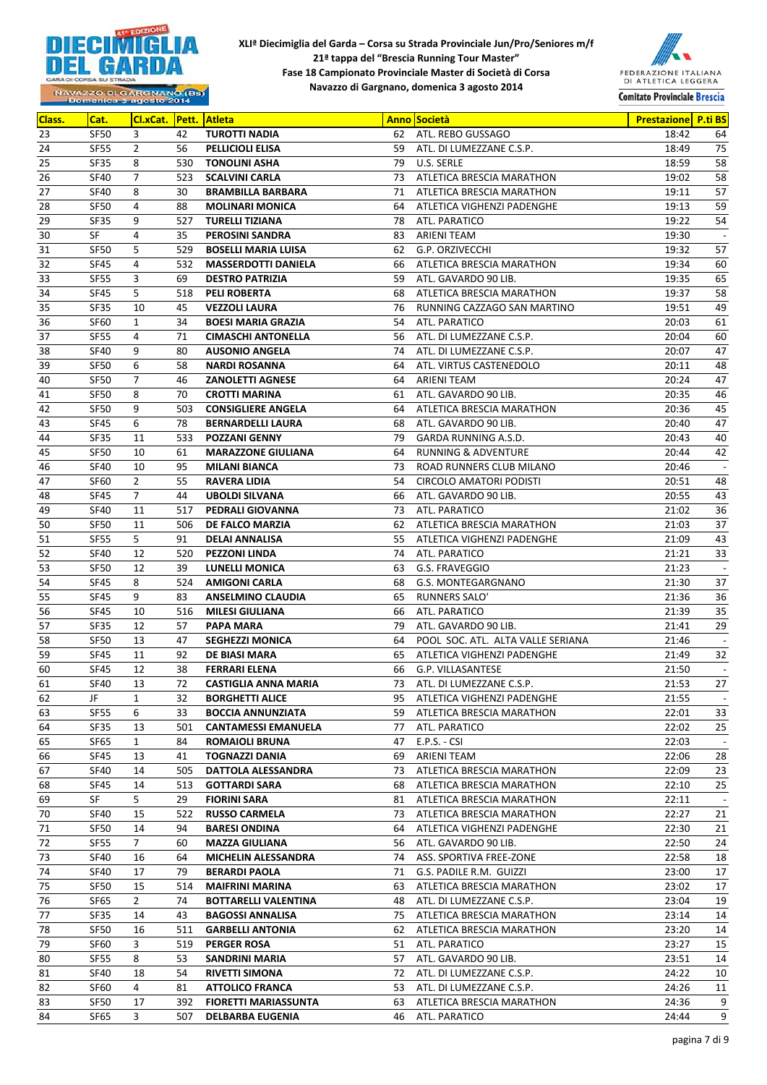



| Class. | Cat.             | <b>Cl.xCat.</b> |     | <b>Pett. Atleta</b><br><b>Anno Società</b> |    | <b>Prestazione P.ti BS</b>        |       |                          |
|--------|------------------|-----------------|-----|--------------------------------------------|----|-----------------------------------|-------|--------------------------|
| 23     | SF50             | 3               | 42  | <b>TUROTTI NADIA</b>                       | 62 | ATL. REBO GUSSAGO                 | 18:42 | 64                       |
| 24     | <b>SF55</b>      | $\overline{2}$  | 56  | PELLICIOLI ELISA                           |    | 59 ATL. DI LUMEZZANE C.S.P.       | 18:49 | 75                       |
| 25     | <b>SF35</b>      | 8               | 530 | <b>TONOLINI ASHA</b>                       |    | 79 U.S. SERLE                     | 18:59 | 58                       |
| 26     | <b>SF40</b>      | $\overline{7}$  | 523 | <b>SCALVINI CARLA</b>                      |    | 73 ATLETICA BRESCIA MARATHON      | 19:02 | 58                       |
| 27     | <b>SF40</b>      | 8               | 30  | <b>BRAMBILLA BARBARA</b>                   | 71 | ATLETICA BRESCIA MARATHON         | 19:11 | 57                       |
| 28     | SF50             | 4               | 88  | <b>MOLINARI MONICA</b>                     | 64 | ATLETICA VIGHENZI PADENGHE        | 19:13 | 59                       |
| 29     | <b>SF35</b>      | 9               | 527 | <b>TURELLI TIZIANA</b>                     | 78 | ATL. PARATICO                     | 19:22 | 54                       |
| 30     | SF               | $\overline{4}$  | 35  | <b>PEROSINI SANDRA</b>                     | 83 | ARIENI TEAM                       | 19:30 |                          |
| 31     | SF50             | 5               | 529 | <b>BOSELLI MARIA LUISA</b>                 | 62 | G.P. ORZIVECCHI                   | 19:32 | 57                       |
| 32     | <b>SF45</b>      | 4               | 532 | <b>MASSERDOTTI DANIELA</b>                 | 66 | ATLETICA BRESCIA MARATHON         | 19:34 | 60                       |
| 33     | <b>SF55</b>      | 3               | 69  | <b>DESTRO PATRIZIA</b>                     | 59 | ATL. GAVARDO 90 LIB.              | 19:35 | 65                       |
| 34     | <b>SF45</b>      | 5               | 518 | <b>PELI ROBERTA</b>                        | 68 | ATLETICA BRESCIA MARATHON         | 19:37 | 58                       |
| 35     | <b>SF35</b>      | 10              | 45  | <b>VEZZOLI LAURA</b>                       | 76 | RUNNING CAZZAGO SAN MARTINO       | 19:51 | 49                       |
| 36     | SF60             | $\mathbf{1}$    | 34  | <b>BOESI MARIA GRAZIA</b>                  | 54 | ATL. PARATICO                     | 20:03 | 61                       |
| 37     | <b>SF55</b>      | 4               | 71  | <b>CIMASCHI ANTONELLA</b>                  | 56 | ATL. DI LUMEZZANE C.S.P.          | 20:04 | 60                       |
| 38     | <b>SF40</b>      | 9               | 80  | <b>AUSONIO ANGELA</b>                      | 74 | ATL. DI LUMEZZANE C.S.P.          | 20:07 | 47                       |
| 39     | SF50             | 6               | 58  | <b>NARDI ROSANNA</b>                       | 64 | ATL. VIRTUS CASTENEDOLO           | 20:11 | 48                       |
| 40     | <b>SF50</b>      | $\overline{7}$  | 46  | <b>ZANOLETTI AGNESE</b>                    | 64 | ARIENI TEAM                       | 20:24 | 47                       |
| 41     | <b>SF50</b>      | 8               | 70  | <b>CROTTI MARINA</b>                       | 61 | ATL. GAVARDO 90 LIB.              | 20:35 | 46                       |
| 42     | <b>SF50</b>      | 9               | 503 | <b>CONSIGLIERE ANGELA</b>                  | 64 | ATLETICA BRESCIA MARATHON         | 20:36 | 45                       |
| 43     | <b>SF45</b>      | 6               | 78  | <b>BERNARDELLI LAURA</b>                   | 68 | ATL. GAVARDO 90 LIB.              | 20:40 | 47                       |
| 44     | <b>SF35</b>      | 11              | 533 | <b>POZZANI GENNY</b>                       | 79 | GARDA RUNNING A.S.D.              | 20:43 | 40                       |
| 45     | <b>SF50</b>      | 10              | 61  | <b>MARAZZONE GIULIANA</b>                  | 64 | <b>RUNNING &amp; ADVENTURE</b>    | 20:44 | 42                       |
| 46     | <b>SF40</b>      | 10              | 95  | <b>MILANI BIANCA</b>                       | 73 | ROAD RUNNERS CLUB MILANO          | 20:46 | $\overline{\phantom{a}}$ |
| 47     | SF60             | $\overline{2}$  | 55  | <b>RAVERA LIDIA</b>                        | 54 | <b>CIRCOLO AMATORI PODISTI</b>    | 20:51 | 48                       |
| 48     | <b>SF45</b>      | $\overline{7}$  | 44  | <b>UBOLDI SILVANA</b>                      | 66 | ATL. GAVARDO 90 LIB.              | 20:55 | 43                       |
| 49     | <b>SF40</b>      | 11              | 517 | PEDRALI GIOVANNA                           | 73 | ATL. PARATICO                     | 21:02 | 36                       |
| 50     | <b>SF50</b>      | 11              | 506 | DE FALCO MARZIA                            | 62 | ATLETICA BRESCIA MARATHON         | 21:03 | 37                       |
| 51     | <b>SF55</b>      | 5               | 91  | <b>DELAI ANNALISA</b>                      | 55 | ATLETICA VIGHENZI PADENGHE        | 21:09 | 43                       |
| 52     | <b>SF40</b>      | 12              | 520 | <b>PEZZONI LINDA</b>                       | 74 | ATL. PARATICO                     | 21:21 | 33                       |
| 53     | SF50             | 12              | 39  | <b>LUNELLI MONICA</b>                      | 63 | G.S. FRAVEGGIO                    | 21:23 | $\sim$                   |
| 54     | SF45             | 8               | 524 | <b>AMIGONI CARLA</b>                       | 68 | G.S. MONTEGARGNANO                | 21:30 | 37                       |
| 55     | <b>SF45</b>      | 9               | 83  | <b>ANSELMINO CLAUDIA</b>                   | 65 | RUNNERS SALO'                     | 21:36 | 36                       |
| 56     | <b>SF45</b>      | 10              | 516 | <b>MILESI GIULIANA</b>                     | 66 | ATL. PARATICO                     | 21:39 | 35                       |
| 57     | SF35             | 12              | 57  | <b>PAPA MARA</b>                           | 79 | ATL. GAVARDO 90 LIB.              | 21:41 | 29                       |
| 58     | SF <sub>50</sub> | 13              | 47  | <b>SEGHEZZI MONICA</b>                     | 64 | POOL SOC. ATL. ALTA VALLE SERIANA | 21:46 | $\sim$                   |
| 59     | <b>SF45</b>      | 11              | 92  | <b>DE BIASI MARA</b>                       | 65 | ATLETICA VIGHENZI PADENGHE        | 21:49 | 32                       |
| 60     | <b>SF45</b>      | 12              | 38  | <b>FERRARI ELENA</b>                       | 66 | G.P. VILLASANTESE                 | 21:50 | $\overline{\phantom{a}}$ |
| 61     | <b>SF40</b>      | 13              | 72  | <b>CASTIGLIA ANNA MARIA</b>                | 73 | ATL. DI LUMEZZANE C.S.P.          | 21:53 | 27                       |
| 62     | JF               | $\mathbf{1}$    | 32  | <b>BORGHETTI ALICE</b>                     | 95 | ATLETICA VIGHENZI PADENGHE        | 21:55 | $\sim$                   |
| 63     | SF55             | 6               | 33  | <b>BOCCIA ANNUNZIATA</b>                   | 59 | ATLETICA BRESCIA MARATHON         | 22:01 | 33                       |
| 64     | SF35             | 13              | 501 | <b>CANTAMESSI EMANUELA</b>                 | 77 | ATL. PARATICO                     | 22:02 | 25                       |
| 65     | SF65             | $\mathbf{1}$    | 84  | <b>ROMAIOLI BRUNA</b>                      | 47 | E.P.S. - CSI                      | 22:03 | $\blacksquare$           |
| 66     | <b>SF45</b>      | 13              | 41  | <b>TOGNAZZI DANIA</b>                      | 69 | ARIENI TEAM                       | 22:06 | 28                       |
| 67     | SF40             | 14              | 505 | DATTOLA ALESSANDRA                         | 73 | ATLETICA BRESCIA MARATHON         | 22:09 | 23                       |
| 68     | <b>SF45</b>      | 14              | 513 | <b>GOTTARDI SARA</b>                       | 68 | ATLETICA BRESCIA MARATHON         | 22:10 | 25                       |
| 69     | SF               | 5               | 29  | <b>FIORINI SARA</b>                        | 81 | ATLETICA BRESCIA MARATHON         | 22:11 |                          |
| 70     | SF40             | 15              | 522 | <b>RUSSO CARMELA</b>                       | 73 | ATLETICA BRESCIA MARATHON         | 22:27 | 21                       |
| 71     | <b>SF50</b>      | 14              | 94  | BARESI ONDINA                              | 64 | ATLETICA VIGHENZI PADENGHE        | 22:30 | 21                       |
| 72     | SF55             | $7\overline{ }$ | 60  | <b>MAZZA GIULIANA</b>                      | 56 | ATL. GAVARDO 90 LIB.              | 22:50 | 24                       |
| 73     | SF40             | 16              | 64  | MICHELIN ALESSANDRA                        | 74 | ASS. SPORTIVA FREE-ZONE           | 22:58 | 18                       |
| 74     | SF40             | 17              | 79  | <b>BERARDI PAOLA</b>                       | 71 | G.S. PADILE R.M. GUIZZI           | 23:00 | 17                       |
| 75     | SF50             | 15              | 514 | <b>MAIFRINI MARINA</b>                     | 63 | ATLETICA BRESCIA MARATHON         | 23:02 | 17                       |
| 76     | SF65             | $\overline{2}$  | 74  | <b>BOTTARELLI VALENTINA</b>                | 48 | ATL. DI LUMEZZANE C.S.P.          | 23:04 | 19                       |
| 77     | SF35             | 14              | 43  | BAGOSSI ANNALISA                           | 75 | ATLETICA BRESCIA MARATHON         | 23:14 | 14                       |
| 78     | <b>SF50</b>      | 16              | 511 | <b>GARBELLI ANTONIA</b>                    | 62 | ATLETICA BRESCIA MARATHON         | 23:20 | 14                       |
| 79     | SF60             | 3               | 519 | <b>PERGER ROSA</b>                         | 51 | ATL. PARATICO                     | 23:27 | 15                       |
| 80     | SF55             | 8               | 53  | <b>SANDRINI MARIA</b>                      | 57 | ATL. GAVARDO 90 LIB.              | 23:51 | 14                       |
| 81     | SF40             | 18              | 54  | <b>RIVETTI SIMONA</b>                      | 72 | ATL. DI LUMEZZANE C.S.P.          | 24:22 | 10                       |
| 82     | SF60             | 4               | 81  | <b>ATTOLICO FRANCA</b>                     | 53 | ATL. DI LUMEZZANE C.S.P.          | 24:26 | 11                       |
| 83     | SF50             | 17              | 392 | <b>FIORETTI MARIASSUNTA</b>                | 63 | ATLETICA BRESCIA MARATHON         | 24:36 | 9                        |
| 84     | SF65             | 3               | 507 | <b>DELBARBA EUGENIA</b>                    | 46 | ATL. PARATICO                     | 24:44 | 9                        |
|        |                  |                 |     |                                            |    |                                   |       |                          |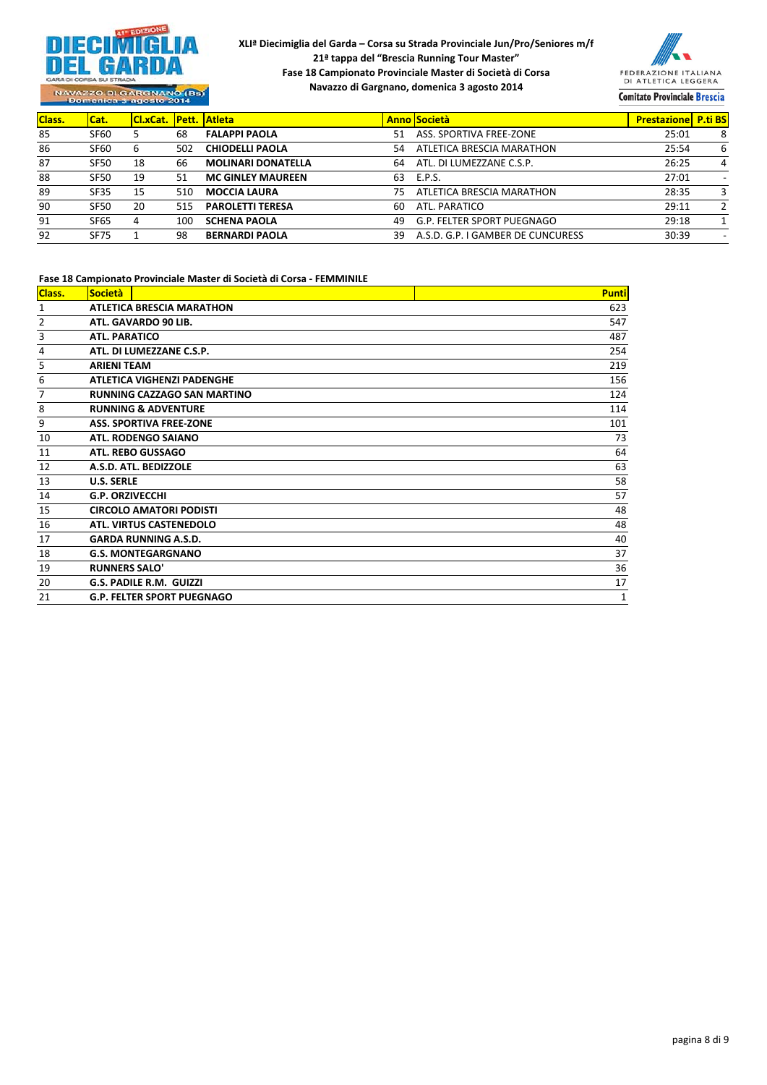



NAVAZZO DI GARGNANO (BS)<br>Domenica 3 agosto 2014

| Class. | Cat.        | <b>ICI.xCat. Pett. Atleta</b> |     |                           |    | <b>Anno Società</b>               | <b>Prestazione P.ti BS</b> |                          |
|--------|-------------|-------------------------------|-----|---------------------------|----|-----------------------------------|----------------------------|--------------------------|
| 85     | <b>SF60</b> |                               | 68  | <b>FALAPPI PAOLA</b>      | 51 | ASS. SPORTIVA FREE-ZONE           | 25:01                      | 8                        |
| 86     | <b>SF60</b> | b                             | 502 | <b>CHIODELLI PAOLA</b>    | 54 | ATLETICA BRESCIA MARATHON         | 25:54                      | 6                        |
| 87     | <b>SF50</b> | 18                            | 66  | <b>MOLINARI DONATELLA</b> | 64 | ATL. DI LUMEZZANE C.S.P.          | 26:25                      | 4                        |
| 88     | <b>SF50</b> | 19                            | 51  | <b>MC GINLEY MAUREEN</b>  | 63 | E.P.S.                            | 27:01                      | $\overline{\phantom{a}}$ |
| 89     | <b>SF35</b> | 15                            | 510 | <b>MOCCIA LAURA</b>       |    | ATLETICA BRESCIA MARATHON         | 28:35                      | 3                        |
| 90     | <b>SF50</b> | 20                            | 515 | <b>PAROLETTI TERESA</b>   | 60 | ATL. PARATICO                     | 29:11                      |                          |
| 91     | <b>SF65</b> | 4                             | 100 | <b>SCHENA PAOLA</b>       | 49 | G.P. FELTER SPORT PUEGNAGO        | 29:18                      |                          |
| 92     | <b>SF75</b> |                               | 98  | <b>BERNARDI PAOLA</b>     | 39 | A.S.D. G.P. I GAMBER DE CUNCURESS | 30:39                      |                          |

#### **Fase 18 Campionato Provinciale Master di Società di Corsa ‐ FEMMINILE**

| Class.         | Società                            | <b>Punti</b> |  |  |  |  |  |  |  |
|----------------|------------------------------------|--------------|--|--|--|--|--|--|--|
| 1              | <b>ATLETICA BRESCIA MARATHON</b>   | 623          |  |  |  |  |  |  |  |
| $\overline{2}$ | ATL. GAVARDO 90 LIB.<br>547        |              |  |  |  |  |  |  |  |
| 3              | <b>ATL. PARATICO</b>               | 487          |  |  |  |  |  |  |  |
| 4              | ATL. DI LUMEZZANE C.S.P.           | 254          |  |  |  |  |  |  |  |
| 5              | <b>ARIENI TEAM</b>                 | 219          |  |  |  |  |  |  |  |
| 6              | <b>ATLETICA VIGHENZI PADENGHE</b>  | 156          |  |  |  |  |  |  |  |
| 7              | <b>RUNNING CAZZAGO SAN MARTINO</b> | 124          |  |  |  |  |  |  |  |
| 8              | <b>RUNNING &amp; ADVENTURE</b>     | 114          |  |  |  |  |  |  |  |
| 9              | <b>ASS. SPORTIVA FREE-ZONE</b>     | 101          |  |  |  |  |  |  |  |
| 10             | <b>ATL. RODENGO SAIANO</b>         | 73           |  |  |  |  |  |  |  |
| 11             | <b>ATL. REBO GUSSAGO</b>           | 64           |  |  |  |  |  |  |  |
| 12             | A.S.D. ATL. BEDIZZOLE              | 63           |  |  |  |  |  |  |  |
| 13             | <b>U.S. SERLE</b>                  | 58           |  |  |  |  |  |  |  |
| 14             | <b>G.P. ORZIVECCHI</b>             | 57           |  |  |  |  |  |  |  |
| 15             | <b>CIRCOLO AMATORI PODISTI</b>     | 48           |  |  |  |  |  |  |  |
| 16             | <b>ATL. VIRTUS CASTENEDOLO</b>     | 48           |  |  |  |  |  |  |  |
| 17             | <b>GARDA RUNNING A.S.D.</b>        | 40           |  |  |  |  |  |  |  |
| 18             | <b>G.S. MONTEGARGNANO</b>          | 37           |  |  |  |  |  |  |  |
| 19             | <b>RUNNERS SALO'</b>               | 36           |  |  |  |  |  |  |  |
| 20             | <b>G.S. PADILE R.M. GUIZZI</b>     | 17           |  |  |  |  |  |  |  |
| 21             | <b>G.P. FELTER SPORT PUEGNAGO</b>  | $\mathbf{1}$ |  |  |  |  |  |  |  |